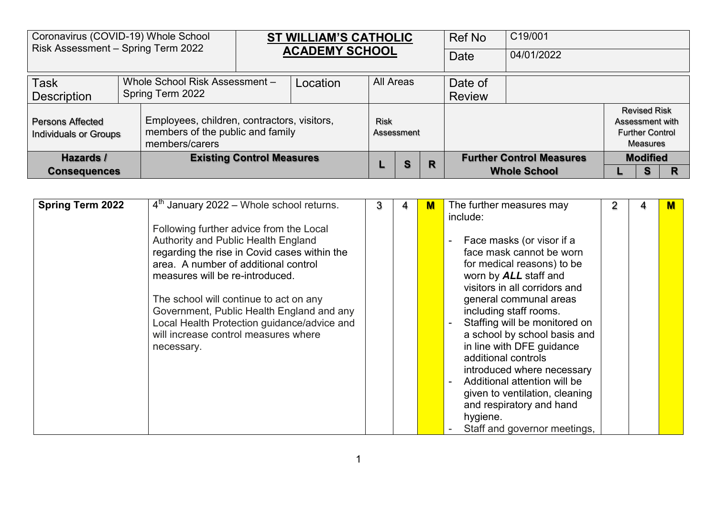|                                                                                                                                                       | Coronavirus (COVID-19) Whole School<br>Risk Assessment - Spring Term 2022 |  |                                  | <b>ST WILLIAM'S CATHOLIC</b><br><b>ACADEMY SCHOOL</b> |           |            | Ref No | C19/001       |                                 |  |                                                                              |   |
|-------------------------------------------------------------------------------------------------------------------------------------------------------|---------------------------------------------------------------------------|--|----------------------------------|-------------------------------------------------------|-----------|------------|--------|---------------|---------------------------------|--|------------------------------------------------------------------------------|---|
|                                                                                                                                                       |                                                                           |  |                                  |                                                       |           |            |        | <b>Date</b>   | 04/01/2022                      |  |                                                                              |   |
| <b>Task</b><br>Whole School Risk Assessment -                                                                                                         |                                                                           |  |                                  | Location                                              | All Areas |            |        | Date of       |                                 |  |                                                                              |   |
| Spring Term 2022<br><b>Description</b>                                                                                                                |                                                                           |  |                                  |                                                       |           |            |        | <b>Review</b> |                                 |  |                                                                              |   |
| Employees, children, contractors, visitors,<br>Persons Affected<br>members of the public and family<br><b>Individuals or Groups</b><br>members/carers |                                                                           |  |                                  |                                                       | Risk      | Assessment |        |               |                                 |  | <b>Revised Risk</b><br>Assessment with<br><b>Further Control</b><br>Measures |   |
| Hazards /                                                                                                                                             |                                                                           |  | <b>Existing Control Measures</b> |                                                       |           | S          | R      |               | <b>Further Control Measures</b> |  | <b>Modified</b>                                                              |   |
|                                                                                                                                                       | <b>Consequences</b>                                                       |  |                                  |                                                       |           |            |        |               | <b>Whole School</b>             |  | S                                                                            | R |

| <b>Spring Term 2022</b> | $4th$ January 2022 – Whole school returns.                                                                                                                                                                                                                                                                                                                                                            | 3 | 4 | M | The further measures may<br>include:                                                                                                                                                                                                                                                                                                                                                                                                                                                           | 2 | м |
|-------------------------|-------------------------------------------------------------------------------------------------------------------------------------------------------------------------------------------------------------------------------------------------------------------------------------------------------------------------------------------------------------------------------------------------------|---|---|---|------------------------------------------------------------------------------------------------------------------------------------------------------------------------------------------------------------------------------------------------------------------------------------------------------------------------------------------------------------------------------------------------------------------------------------------------------------------------------------------------|---|---|
|                         | Following further advice from the Local<br>Authority and Public Health England<br>regarding the rise in Covid cases within the<br>area. A number of additional control<br>measures will be re-introduced.<br>The school will continue to act on any<br>Government, Public Health England and any<br>Local Health Protection guidance/advice and<br>will increase control measures where<br>necessary. |   |   |   | Face masks (or visor if a<br>face mask cannot be worn<br>for medical reasons) to be<br>worn by ALL staff and<br>visitors in all corridors and<br>general communal areas<br>including staff rooms.<br>Staffing will be monitored on<br>a school by school basis and<br>in line with DFE guidance<br>additional controls<br>introduced where necessary<br>Additional attention will be<br>given to ventilation, cleaning<br>and respiratory and hand<br>hygiene.<br>Staff and governor meetings, |   |   |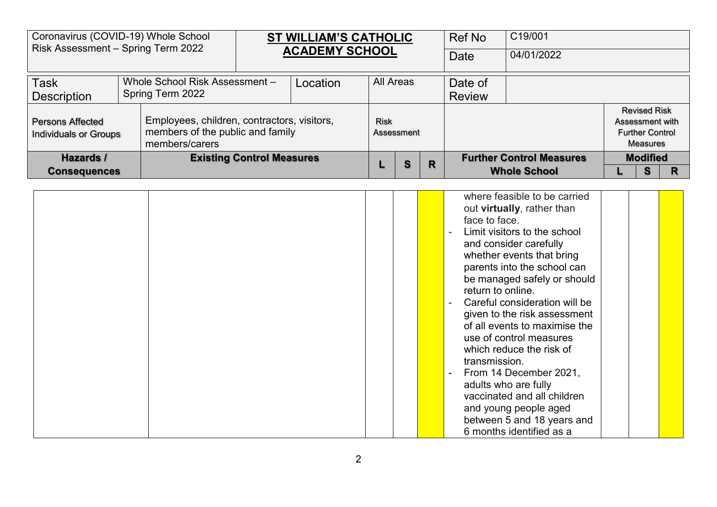| Coronavirus (COVID-19) Whole School<br>Risk Assessment - Spring Term 2022                                                                      |  |                                  | <b>ST WILLIAM'S CATHOLIC</b><br><b>ACADEMY SCHOOL</b> |          |           | Ref No     | C19/001 |                                 |            |                 |                                                                                     |  |
|------------------------------------------------------------------------------------------------------------------------------------------------|--|----------------------------------|-------------------------------------------------------|----------|-----------|------------|---------|---------------------------------|------------|-----------------|-------------------------------------------------------------------------------------|--|
|                                                                                                                                                |  |                                  |                                                       |          |           |            |         | Date                            | 04/01/2022 |                 |                                                                                     |  |
| <b>Task</b><br>Whole School Risk Assessment -<br>Spring Term 2022<br>Description                                                               |  |                                  |                                                       | Location | All Areas |            |         | Date of<br><b>Review</b>        |            |                 |                                                                                     |  |
| Employees, children, contractors, visitors,<br>Persons Affected<br>members of the public and family<br>Individuals or Groups<br>members/carers |  |                                  |                                                       |          | Risk      | Assessment |         |                                 |            |                 | <b>Revised Risk</b><br>Assessment with<br><b>Further Control</b><br><b>Measures</b> |  |
| Hazards /                                                                                                                                      |  | <b>Existing Control Measures</b> |                                                       |          | S         | R          |         | <b>Further Control Measures</b> |            | <b>Modified</b> |                                                                                     |  |
| <b>Consequences</b>                                                                                                                            |  |                                  |                                                       |          |           |            |         | <b>Whole School</b>             |            | s               |                                                                                     |  |

| where feasible to be carried<br>out virtually, rather than<br>face to face.<br>Limit visitors to the school<br>and consider carefully<br>whether events that bring<br>parents into the school can<br>be managed safely or should<br>return to online.<br>Careful consideration will be<br>given to the risk assessment<br>of all events to maximise the<br>use of control measures<br>which reduce the risk of<br>transmission.<br>$\blacksquare$ |
|---------------------------------------------------------------------------------------------------------------------------------------------------------------------------------------------------------------------------------------------------------------------------------------------------------------------------------------------------------------------------------------------------------------------------------------------------|
| From 14 December 2021,<br>adults who are fully                                                                                                                                                                                                                                                                                                                                                                                                    |
| vaccinated and all children<br>and young people aged<br>between 5 and 18 years and<br>6 months identified as a                                                                                                                                                                                                                                                                                                                                    |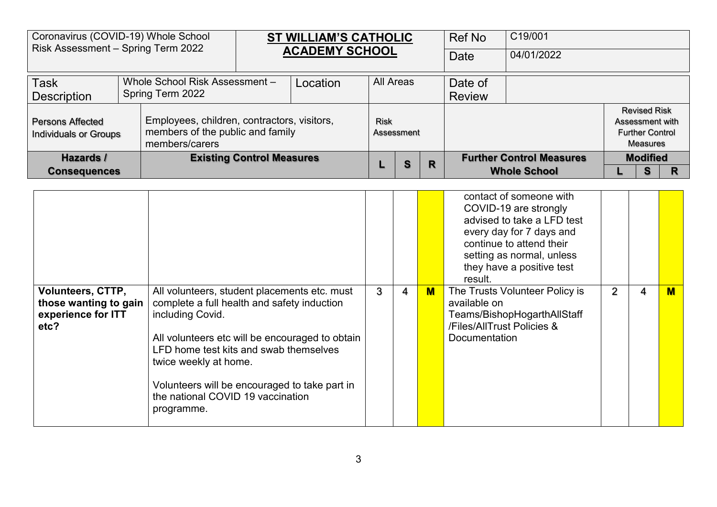|                                                                    | Coronavirus (COVID-19) Whole School<br>Risk Assessment - Spring Term 2022 |                                                                                 | <b>ST WILLIAM'S CATHOLIC</b><br><b>ACADEMY SCHOOL</b> |          |             |            | <b>Ref No</b> | C19/001             |                                 |                                                                              |  |
|--------------------------------------------------------------------|---------------------------------------------------------------------------|---------------------------------------------------------------------------------|-------------------------------------------------------|----------|-------------|------------|---------------|---------------------|---------------------------------|------------------------------------------------------------------------------|--|
|                                                                    |                                                                           |                                                                                 |                                                       |          |             |            |               | <b>Date</b>         | 04/01/2022                      |                                                                              |  |
| Whole School Risk Assessment -<br><b>Task</b>                      |                                                                           |                                                                                 |                                                       | Location | All Areas   |            |               | Date of             |                                 |                                                                              |  |
| Spring Term 2022<br><b>Description</b>                             |                                                                           |                                                                                 |                                                       |          |             |            |               | <b>Review</b>       |                                 |                                                                              |  |
| Persons Affected<br><b>Individuals or Groups</b><br>members/carers |                                                                           | Employees, children, contractors, visitors,<br>members of the public and family |                                                       |          | <b>Risk</b> | Assessment |               |                     |                                 | <b>Revised Risk</b><br>Assessment with<br><b>Further Control</b><br>Measures |  |
| Hazards /                                                          |                                                                           |                                                                                 | <b>Existing Control Measures</b>                      |          |             | S          | R             |                     | <b>Further Control Measures</b> | <b>Modified</b>                                                              |  |
| <b>Consequences</b>                                                |                                                                           |                                                                                 |                                                       |          |             |            |               | <b>Whole School</b> | S                               | R                                                                            |  |

|                                                                                 |                                                                                                                                                                                                                                                                                                                                           |   |   |   | contact of someone with<br>COVID-19 are strongly<br>advised to take a LFD test<br>every day for 7 days and<br>continue to attend their<br>setting as normal, unless<br>they have a positive test<br>result. |   |   |   |
|---------------------------------------------------------------------------------|-------------------------------------------------------------------------------------------------------------------------------------------------------------------------------------------------------------------------------------------------------------------------------------------------------------------------------------------|---|---|---|-------------------------------------------------------------------------------------------------------------------------------------------------------------------------------------------------------------|---|---|---|
| <b>Volunteers, CTTP,</b><br>those wanting to gain<br>experience for ITT<br>etc? | All volunteers, student placements etc. must<br>complete a full health and safety induction<br>including Covid.<br>All volunteers etc will be encouraged to obtain<br>LFD home test kits and swab themselves<br>twice weekly at home.<br>Volunteers will be encouraged to take part in<br>the national COVID 19 vaccination<br>programme. | 3 | 4 | M | The Trusts Volunteer Policy is<br>available on<br>Teams/BishopHogarthAllStaff<br>/Files/AllTrust Policies &<br><b>Documentation</b>                                                                         | 2 | 4 | M |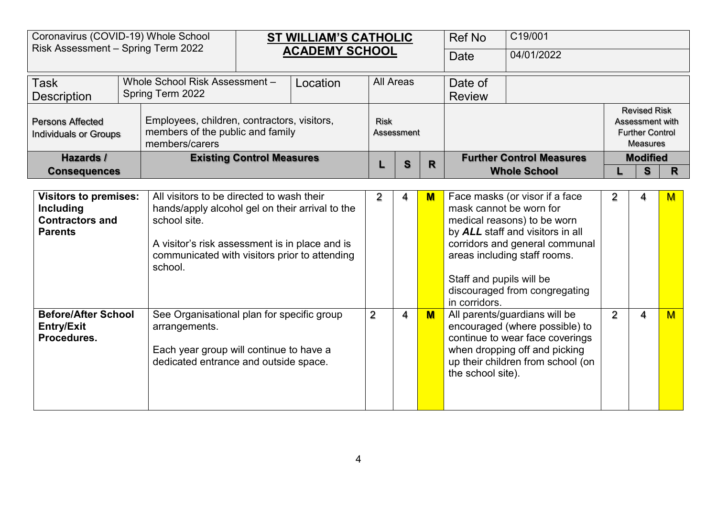| Coronavirus (COVID-19) Whole School<br>Risk Assessment - Spring Term 2022 |                                                                                                                                                                                    |                                                                                                                                                                                                                            |  | <b>ST WILLIAM'S CATHOLIC</b> |                |                           |                         | <b>Ref No</b>                                                        | C19/001                                                                                                                                                                                              |                |                                                                                     |                |
|---------------------------------------------------------------------------|------------------------------------------------------------------------------------------------------------------------------------------------------------------------------------|----------------------------------------------------------------------------------------------------------------------------------------------------------------------------------------------------------------------------|--|------------------------------|----------------|---------------------------|-------------------------|----------------------------------------------------------------------|------------------------------------------------------------------------------------------------------------------------------------------------------------------------------------------------------|----------------|-------------------------------------------------------------------------------------|----------------|
|                                                                           |                                                                                                                                                                                    |                                                                                                                                                                                                                            |  | <b>ACADEMY SCHOOL</b>        |                |                           |                         | Date                                                                 | 04/01/2022                                                                                                                                                                                           |                |                                                                                     |                |
| <b>Task</b><br><b>Description</b>                                         |                                                                                                                                                                                    | Whole School Risk Assessment -<br>Spring Term 2022                                                                                                                                                                         |  | Location                     |                | <b>All Areas</b>          |                         | Date of<br><b>Review</b>                                             |                                                                                                                                                                                                      |                |                                                                                     |                |
| <b>Persons Affected</b>                                                   | Employees, children, contractors, visitors,<br>members of the public and family<br><b>Individuals or Groups</b><br>members/carers<br>Hazards /<br><b>Existing Control Measures</b> |                                                                                                                                                                                                                            |  |                              |                | <b>Risk</b><br>Assessment |                         |                                                                      |                                                                                                                                                                                                      |                | <b>Revised Risk</b><br>Assessment with<br><b>Further Control</b><br><b>Measures</b> |                |
|                                                                           | <b>Consequences</b>                                                                                                                                                                |                                                                                                                                                                                                                            |  |                              |                | S                         | $\mathbf R$             |                                                                      | <b>Further Control Measures</b><br><b>Whole School</b>                                                                                                                                               |                | <b>Modified</b><br>S                                                                | $\mathsf{R}$   |
|                                                                           | <b>Visitors to premises:</b>                                                                                                                                                       |                                                                                                                                                                                                                            |  |                              |                |                           |                         |                                                                      |                                                                                                                                                                                                      |                |                                                                                     |                |
| <b>Including</b><br><b>Contractors and</b><br><b>Parents</b>              |                                                                                                                                                                                    | All visitors to be directed to wash their<br>hands/apply alcohol gel on their arrival to the<br>school site.<br>A visitor's risk assessment is in place and is<br>communicated with visitors prior to attending<br>school. |  |                              |                | 4                         | $\overline{\mathsf{M}}$ | mask cannot be worn for<br>Staff and pupils will be<br>in corridors. | Face masks (or visor if a face<br>medical reasons) to be worn<br>by ALL staff and visitors in all<br>corridors and general communal<br>areas including staff rooms.<br>discouraged from congregating | 2              | 4                                                                                   | M              |
| <b>Before/After School</b><br><b>Entry/Exit</b><br>Procedures.            | See Organisational plan for specific group<br>arrangements.<br>Each year group will continue to have a<br>dedicated entrance and outside space.                                    |                                                                                                                                                                                                                            |  |                              | $\overline{2}$ | 4                         | M                       | the school site).                                                    | All parents/guardians will be<br>encouraged (where possible) to<br>continue to wear face coverings<br>when dropping off and picking<br>up their children from school (on                             | $\overline{2}$ | 4                                                                                   | $\overline{M}$ |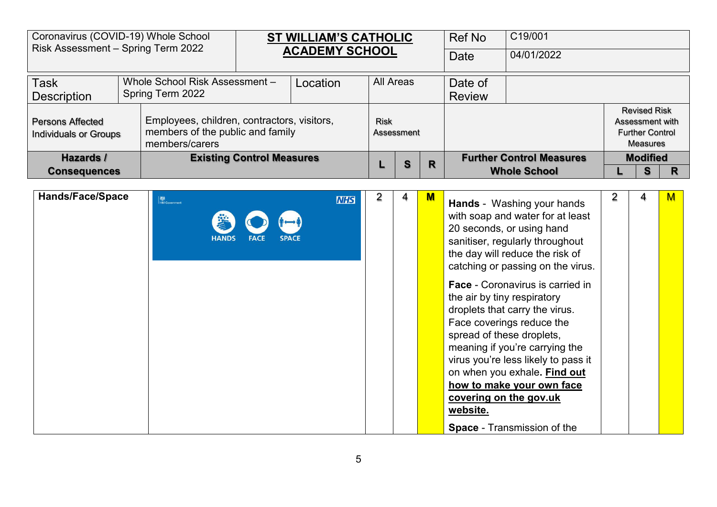|                                                                                        | Coronavirus (COVID-19) Whole School<br>Risk Assessment - Spring Term 2022                                                         |                                  | <b>ST WILLIAM'S CATHOLIC</b><br><b>ACADEMY SCHOOL</b> |          |             | Ref No     | C19/001 |                                                        |            |                      |                                                                                     |
|----------------------------------------------------------------------------------------|-----------------------------------------------------------------------------------------------------------------------------------|----------------------------------|-------------------------------------------------------|----------|-------------|------------|---------|--------------------------------------------------------|------------|----------------------|-------------------------------------------------------------------------------------|
|                                                                                        |                                                                                                                                   |                                  |                                                       |          |             |            |         | <b>Date</b>                                            | 04/01/2022 |                      |                                                                                     |
| Whole School Risk Assessment-<br><b>Task</b><br>Spring Term 2022<br><b>Description</b> |                                                                                                                                   |                                  |                                                       | Location | All Areas   |            |         | Date of<br><b>Review</b>                               |            |                      |                                                                                     |
| <b>Persons Affected</b>                                                                | Employees, children, contractors, visitors,<br>members of the public and family<br><b>Individuals or Groups</b><br>members/carers |                                  |                                                       |          | <b>Risk</b> | Assessment |         |                                                        |            |                      | <b>Revised Risk</b><br>Assessment with<br><b>Further Control</b><br><b>Measures</b> |
| Hazards /<br><b>Consequences</b>                                                       |                                                                                                                                   | <b>Existing Control Measures</b> |                                                       |          | S           | R          |         | <b>Further Control Measures</b><br><b>Whole School</b> |            | <b>Modified</b><br>R |                                                                                     |

| <b>Hands/Face/Space</b> | <b>检</b><br>HM Government                   | <b>NHS</b> | 2 | 4 | $\blacksquare$ | <b>Hands</b> - Washing your hands                                  | 2 | 4 | M |
|-------------------------|---------------------------------------------|------------|---|---|----------------|--------------------------------------------------------------------|---|---|---|
|                         |                                             |            |   |   |                | with soap and water for at least                                   |   |   |   |
|                         | <b>HANDS</b><br><b>SPACE</b><br><b>FACE</b> |            |   |   |                | 20 seconds, or using hand                                          |   |   |   |
|                         |                                             |            |   |   |                | sanitiser, regularly throughout<br>the day will reduce the risk of |   |   |   |
|                         |                                             |            |   |   |                | catching or passing on the virus.                                  |   |   |   |
|                         |                                             |            |   |   |                | <b>Face - Coronavirus is carried in</b>                            |   |   |   |
|                         |                                             |            |   |   |                | the air by tiny respiratory<br>droplets that carry the virus.      |   |   |   |
|                         |                                             |            |   |   |                | Face coverings reduce the                                          |   |   |   |
|                         |                                             |            |   |   |                | spread of these droplets,                                          |   |   |   |
|                         |                                             |            |   |   |                | meaning if you're carrying the                                     |   |   |   |
|                         |                                             |            |   |   |                | virus you're less likely to pass it                                |   |   |   |
|                         |                                             |            |   |   |                | on when you exhale. Find out<br>how to make your own face          |   |   |   |
|                         |                                             |            |   |   |                | covering on the gov.uk                                             |   |   |   |
|                         |                                             |            |   |   |                | website.                                                           |   |   |   |
|                         |                                             |            |   |   |                | <b>Space - Transmission of the</b>                                 |   |   |   |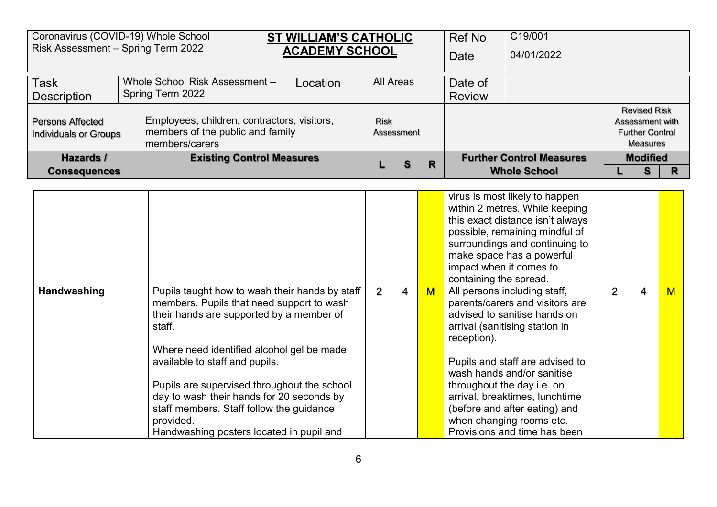|                                                  | Coronavirus (COVID-19) Whole School<br>Risk Assessment - Spring Term 2022 |                                                                                                   |  | <b>ST WILLIAM'S CATHOLIC</b><br><b>ACADEMY SCHOOL</b> |                  |            |  | Ref No                          | C19/001         |                                                                                     |  |
|--------------------------------------------------|---------------------------------------------------------------------------|---------------------------------------------------------------------------------------------------|--|-------------------------------------------------------|------------------|------------|--|---------------------------------|-----------------|-------------------------------------------------------------------------------------|--|
|                                                  |                                                                           |                                                                                                   |  |                                                       |                  |            |  | Date                            | 04/01/2022      |                                                                                     |  |
| <b>Task</b><br>Whole School Risk Assessment -    |                                                                           |                                                                                                   |  | Location                                              | <b>All Areas</b> |            |  | Date of                         |                 |                                                                                     |  |
| Spring Term 2022<br>Description                  |                                                                           |                                                                                                   |  |                                                       |                  |            |  | <b>Review</b>                   |                 |                                                                                     |  |
| Persons Affected<br><b>Individuals or Groups</b> |                                                                           | Employees, children, contractors, visitors,<br>members of the public and family<br>members/carers |  |                                                       | Risk             | Assessment |  |                                 |                 | <b>Revised Risk</b><br>Assessment with<br><b>Further Control</b><br><b>Measures</b> |  |
| Hazards /                                        |                                                                           | <b>Existing Control Measures</b>                                                                  |  |                                                       | S                | R          |  | <b>Further Control Measures</b> | <b>Modified</b> |                                                                                     |  |
| <b>Consequences</b>                              |                                                                           |                                                                                                   |  |                                                       |                  |            |  | <b>Whole School</b>             |                 |                                                                                     |  |

|             |                                                                                                                                                                                                                                                                              |   |   |     | virus is most likely to happen<br>within 2 metres. While keeping<br>this exact distance isn't always<br>possible, remaining mindful of<br>surroundings and continuing to<br>make space has a powerful<br>impact when it comes to<br>containing the spread. |   |   |   |
|-------------|------------------------------------------------------------------------------------------------------------------------------------------------------------------------------------------------------------------------------------------------------------------------------|---|---|-----|------------------------------------------------------------------------------------------------------------------------------------------------------------------------------------------------------------------------------------------------------------|---|---|---|
| Handwashing | Pupils taught how to wash their hands by staff<br>members. Pupils that need support to wash<br>their hands are supported by a member of<br>staff.                                                                                                                            | 2 | 4 | $M$ | All persons including staff,<br>parents/carers and visitors are<br>advised to sanitise hands on<br>arrival (sanitising station in<br>reception).                                                                                                           | 2 | 4 | M |
|             | Where need identified alcohol gel be made<br>available to staff and pupils.<br>Pupils are supervised throughout the school<br>day to wash their hands for 20 seconds by<br>staff members. Staff follow the guidance<br>provided.<br>Handwashing posters located in pupil and |   |   |     | Pupils and staff are advised to<br>wash hands and/or sanitise<br>throughout the day i.e. on<br>arrival, breaktimes, lunchtime<br>(before and after eating) and<br>when changing rooms etc.<br>Provisions and time has been                                 |   |   |   |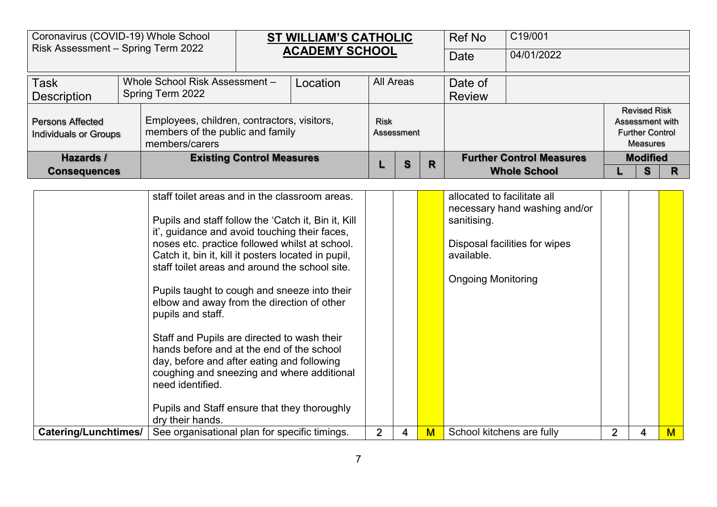|                                               | Coronavirus (COVID-19) Whole School<br>Risk Assessment - Spring Term 2022                                                         |  |  | <b>ST WILLIAM'S CATHOLIC</b> |                  |            |  | Ref No                          | C19/001    |                 |                                                                  |  |
|-----------------------------------------------|-----------------------------------------------------------------------------------------------------------------------------------|--|--|------------------------------|------------------|------------|--|---------------------------------|------------|-----------------|------------------------------------------------------------------|--|
|                                               |                                                                                                                                   |  |  | <b>ACADEMY SCHOOL</b>        |                  |            |  | Date                            | 04/01/2022 |                 |                                                                  |  |
| <b>Task</b><br>Whole School Risk Assessment - |                                                                                                                                   |  |  | Location                     | <b>All Areas</b> |            |  | Date of                         |            |                 |                                                                  |  |
| Spring Term 2022<br><b>Description</b>        |                                                                                                                                   |  |  |                              |                  |            |  | <b>Review</b>                   |            |                 |                                                                  |  |
| <b>Persons Affected</b>                       | Employees, children, contractors, visitors,<br>members of the public and family<br><b>Individuals or Groups</b><br>members/carers |  |  |                              | <b>Risk</b>      | Assessment |  |                                 |            | Assessment with | <b>Revised Risk</b><br><b>Further Control</b><br><b>Measures</b> |  |
| <b>Existing Control Measures</b><br>Hazards / |                                                                                                                                   |  |  |                              | S                | R          |  | <b>Further Control Measures</b> |            | <b>Modified</b> |                                                                  |  |
| <b>Consequences</b>                           |                                                                                                                                   |  |  |                              |                  |            |  | <b>Whole School</b>             |            | S               | R                                                                |  |

|                      | staff toilet areas and in the classroom areas.                                                                                                                                                           |  |   | allocated to facilitate all<br>necessary hand washing and/or |   |  |
|----------------------|----------------------------------------------------------------------------------------------------------------------------------------------------------------------------------------------------------|--|---|--------------------------------------------------------------|---|--|
|                      | Pupils and staff follow the 'Catch it, Bin it, Kill<br>it', guidance and avoid touching their faces,                                                                                                     |  |   | sanitising.                                                  |   |  |
|                      | noses etc. practice followed whilst at school.<br>Catch it, bin it, kill it posters located in pupil,                                                                                                    |  |   | Disposal facilities for wipes<br>available.                  |   |  |
|                      | staff toilet areas and around the school site.                                                                                                                                                           |  |   | <b>Ongoing Monitoring</b>                                    |   |  |
|                      | Pupils taught to cough and sneeze into their<br>elbow and away from the direction of other<br>pupils and staff.                                                                                          |  |   |                                                              |   |  |
|                      | Staff and Pupils are directed to wash their<br>hands before and at the end of the school<br>day, before and after eating and following<br>coughing and sneezing and where additional<br>need identified. |  |   |                                                              |   |  |
|                      | Pupils and Staff ensure that they thoroughly<br>dry their hands.                                                                                                                                         |  |   |                                                              |   |  |
| Catering/Lunchtimes/ | See organisational plan for specific timings.                                                                                                                                                            |  | M | School kitchens are fully                                    | 2 |  |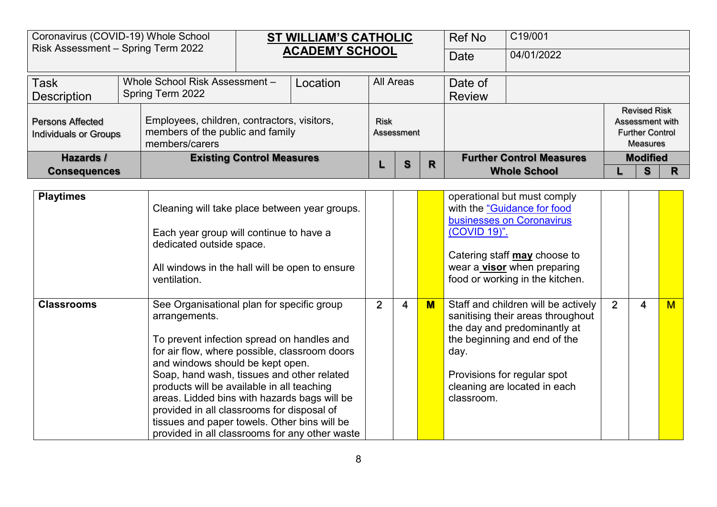| Coronavirus (COVID-19) Whole School<br>Risk Assessment - Spring Term 2022 |                  |                                                                                                   |                                  | ST WILLIAM'S CATHOLIC |             |            |   | <b>Ref No</b> | C19/001                         |                                                                                     |  |
|---------------------------------------------------------------------------|------------------|---------------------------------------------------------------------------------------------------|----------------------------------|-----------------------|-------------|------------|---|---------------|---------------------------------|-------------------------------------------------------------------------------------|--|
|                                                                           |                  |                                                                                                   |                                  | <b>ACADEMY SCHOOL</b> |             |            |   | Date          | 04/01/2022                      |                                                                                     |  |
| <b>Task</b>                                                               |                  | Whole School Risk Assessment -                                                                    |                                  | Location              | All Areas   |            |   | Date of       |                                 |                                                                                     |  |
| <b>Description</b>                                                        | Spring Term 2022 |                                                                                                   |                                  |                       |             |            |   | <b>Review</b> |                                 |                                                                                     |  |
| <b>Persons Affected</b><br><b>Individuals or Groups</b>                   |                  | Employees, children, contractors, visitors,<br>members of the public and family<br>members/carers |                                  |                       | <b>Risk</b> | Assessment |   |               |                                 | <b>Revised Risk</b><br>Assessment with<br><b>Further Control</b><br><b>Measures</b> |  |
| Hazards /                                                                 |                  |                                                                                                   | <b>Existing Control Measures</b> |                       |             | S          | R |               | <b>Further Control Measures</b> | <b>Modified</b>                                                                     |  |
| <b>Consequences</b>                                                       |                  |                                                                                                   |                                  |                       |             |            |   |               | <b>Whole School</b>             | S                                                                                   |  |

| <b>Playtimes</b>  | Cleaning will take place between year groups.<br>Each year group will continue to have a<br>dedicated outside space.<br>All windows in the hall will be open to ensure<br>ventilation.                                                                                                                                                                                                                                                                                                     |                |   |   | operational but must comply<br>with the "Guidance for food<br>businesses on Coronavirus<br>(COVID 19)".<br>Catering staff may choose to<br>wear a visor when preparing<br>food or working in the kitchen.                     |                |   |   |
|-------------------|--------------------------------------------------------------------------------------------------------------------------------------------------------------------------------------------------------------------------------------------------------------------------------------------------------------------------------------------------------------------------------------------------------------------------------------------------------------------------------------------|----------------|---|---|-------------------------------------------------------------------------------------------------------------------------------------------------------------------------------------------------------------------------------|----------------|---|---|
| <b>Classrooms</b> | See Organisational plan for specific group<br>arrangements.<br>To prevent infection spread on handles and<br>for air flow, where possible, classroom doors<br>and windows should be kept open.<br>Soap, hand wash, tissues and other related<br>products will be available in all teaching<br>areas. Lidded bins with hazards bags will be<br>provided in all classrooms for disposal of<br>tissues and paper towels. Other bins will be<br>provided in all classrooms for any other waste | $\overline{2}$ | 4 | M | Staff and children will be actively<br>sanitising their areas throughout<br>the day and predominantly at<br>the beginning and end of the<br>day.<br>Provisions for regular spot<br>cleaning are located in each<br>classroom. | $\overline{2}$ | 4 | M |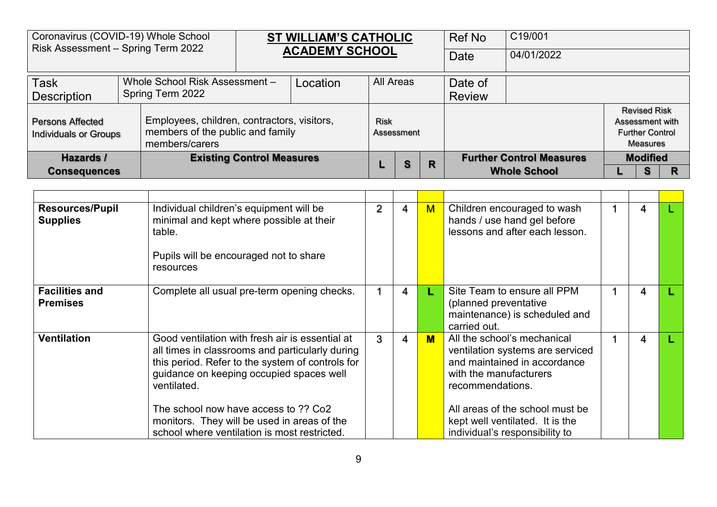| Coronavirus (COVID-19) Whole School<br>Risk Assessment - Spring Term 2022 |                  |                                                                                                   | <b>ST WILLIAM'S CATHOLIC</b> |                  |            |  | Ref No                          | C19/001             |                 |                                                           |  |
|---------------------------------------------------------------------------|------------------|---------------------------------------------------------------------------------------------------|------------------------------|------------------|------------|--|---------------------------------|---------------------|-----------------|-----------------------------------------------------------|--|
|                                                                           |                  |                                                                                                   | <b>ACADEMY SCHOOL</b>        |                  |            |  | Date                            | 04/01/2022          |                 |                                                           |  |
| <b>Task</b>                                                               |                  | Whole School Risk Assessment -                                                                    | Location                     | <b>All Areas</b> |            |  | Date of                         |                     |                 |                                                           |  |
| <b>Description</b>                                                        | Spring Term 2022 |                                                                                                   |                              |                  |            |  | <b>Review</b>                   |                     |                 |                                                           |  |
| <b>Persons Affected</b><br><b>Individuals or Groups</b>                   |                  | Employees, children, contractors, visitors,<br>members of the public and family<br>members/carers |                              | <b>Risk</b>      | Assessment |  |                                 |                     | Assessment with | <b>Revised Risk</b><br><b>Further Control</b><br>Measures |  |
| <b>Existing Control Measures</b><br>Hazards /                             |                  |                                                                                                   |                              | S                | R          |  | <b>Further Control Measures</b> |                     | <b>Modified</b> |                                                           |  |
| <b>Consequences</b>                                                       |                  |                                                                                                   |                              |                  |            |  |                                 | <b>Whole School</b> |                 |                                                           |  |

| <b>Resources/Pupil</b><br><b>Supplies</b> | Individual children's equipment will be<br>minimal and kept where possible at their<br>table.<br>Pupils will be encouraged not to share<br>resources                                                              | 2 | 4              | M  | Children encouraged to wash<br>hands / use hand gel before<br>lessons and after each lesson.                                                  | 4 |  |
|-------------------------------------------|-------------------------------------------------------------------------------------------------------------------------------------------------------------------------------------------------------------------|---|----------------|----|-----------------------------------------------------------------------------------------------------------------------------------------------|---|--|
| <b>Facilities and</b><br><b>Premises</b>  | Complete all usual pre-term opening checks.                                                                                                                                                                       |   | 4              | L. | Site Team to ensure all PPM<br>(planned preventative<br>maintenance) is scheduled and<br>carried out.                                         | 4 |  |
| <b>Ventilation</b>                        | Good ventilation with fresh air is essential at<br>all times in classrooms and particularly during<br>this period. Refer to the system of controls for<br>guidance on keeping occupied spaces well<br>ventilated. | 3 | $\overline{4}$ | M  | All the school's mechanical<br>ventilation systems are serviced<br>and maintained in accordance<br>with the manufacturers<br>recommendations. | 4 |  |
|                                           | The school now have access to ?? Co2<br>monitors. They will be used in areas of the<br>school where ventilation is most restricted.                                                                               |   |                |    | All areas of the school must be<br>kept well ventilated. It is the<br>individual's responsibility to                                          |   |  |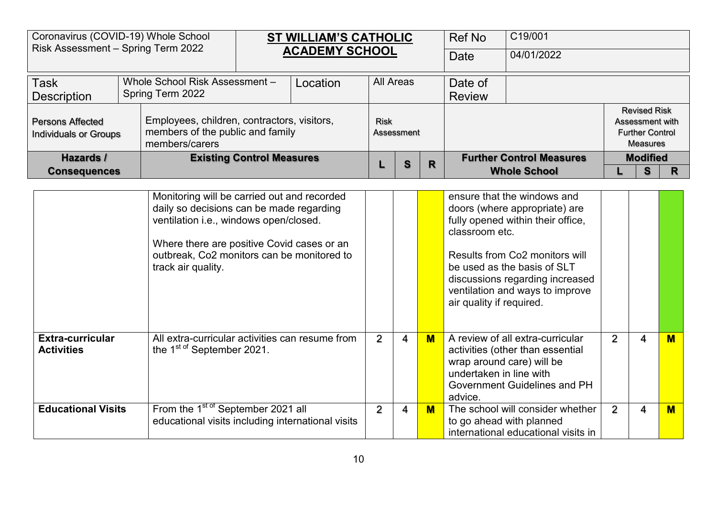| Risk Assessment - Spring Term 2022                      | Coronavirus (COVID-19) Whole School                                                               |                                  | <b>ST WILLIAM'S CATHOLIC</b> |             |            |   | Ref No        | C19/001                         |  |                                                                              |  |  |
|---------------------------------------------------------|---------------------------------------------------------------------------------------------------|----------------------------------|------------------------------|-------------|------------|---|---------------|---------------------------------|--|------------------------------------------------------------------------------|--|--|
|                                                         |                                                                                                   |                                  | <b>ACADEMY SCHOOL</b>        |             |            |   | Date          | 04/01/2022                      |  |                                                                              |  |  |
| <b>Task</b>                                             | Whole School Risk Assessment -                                                                    |                                  | Location                     | All Areas   |            |   | Date of       |                                 |  |                                                                              |  |  |
| <b>Description</b>                                      | Spring Term 2022                                                                                  |                                  |                              |             |            |   | <b>Review</b> |                                 |  |                                                                              |  |  |
| <b>Persons Affected</b><br><b>Individuals or Groups</b> | Employees, children, contractors, visitors,<br>members of the public and family<br>members/carers |                                  |                              | <b>Risk</b> | Assessment |   |               |                                 |  | <b>Revised Risk</b><br>Assessment with<br><b>Further Control</b><br>Measures |  |  |
| Hazards /                                               |                                                                                                   | <b>Existing Control Measures</b> |                              |             | S          | R |               | <b>Further Control Measures</b> |  | <b>Modified</b>                                                              |  |  |
| <b>Consequences</b>                                     |                                                                                                   |                                  |                              |             |            |   |               | <b>Whole School</b>             |  | S                                                                            |  |  |

|                                              | Monitoring will be carried out and recorded<br>daily so decisions can be made regarding<br>ventilation i.e., windows open/closed.<br>Where there are positive Covid cases or an<br>outbreak, Co2 monitors can be monitored to<br>track air quality. |   |   |     | ensure that the windows and<br>doors (where appropriate) are<br>fully opened within their office,<br>classroom etc.<br>Results from Co2 monitors will<br>be used as the basis of SLT<br>discussions regarding increased<br>ventilation and ways to improve<br>air quality if required. |   |  |
|----------------------------------------------|-----------------------------------------------------------------------------------------------------------------------------------------------------------------------------------------------------------------------------------------------------|---|---|-----|----------------------------------------------------------------------------------------------------------------------------------------------------------------------------------------------------------------------------------------------------------------------------------------|---|--|
| <b>Extra-curricular</b><br><b>Activities</b> | All extra-curricular activities can resume from<br>the 1 <sup>st of</sup> September 2021.                                                                                                                                                           | 2 | 4 | $M$ | A review of all extra-curricular<br>activities (other than essential<br>wrap around care) will be<br>undertaken in line with<br>Government Guidelines and PH<br>advice.                                                                                                                | 4 |  |
| <b>Educational Visits</b>                    | From the 1 <sup>st of</sup> September 2021 all<br>educational visits including international visits                                                                                                                                                 | 2 | 4 | $M$ | The school will consider whether<br>to go ahead with planned<br>international educational visits in                                                                                                                                                                                    | 4 |  |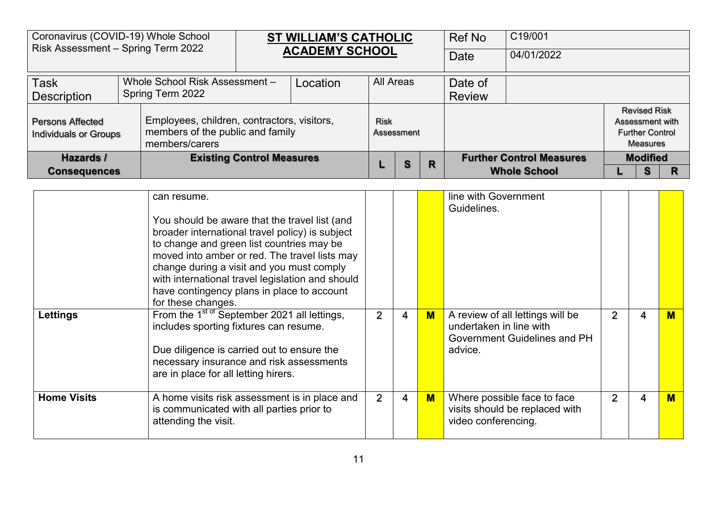| Coronavirus (COVID-19) Whole School<br>Risk Assessment - Spring Term 2022 |                  |                                                                                                   |                                  | <b>ST WILLIAM'S CATHOLIC</b> |             |            |   | Ref No        | C19/001                         |                                                                                     |  |
|---------------------------------------------------------------------------|------------------|---------------------------------------------------------------------------------------------------|----------------------------------|------------------------------|-------------|------------|---|---------------|---------------------------------|-------------------------------------------------------------------------------------|--|
|                                                                           |                  |                                                                                                   |                                  | <b>ACADEMY SCHOOL</b>        |             |            |   | Date          | 04/01/2022                      |                                                                                     |  |
| <b>Task</b>                                                               |                  | Whole School Risk Assessment -                                                                    |                                  | Location                     | All Areas   |            |   | Date of       |                                 |                                                                                     |  |
| <b>Description</b>                                                        | Spring Term 2022 |                                                                                                   |                                  |                              |             |            |   | <b>Review</b> |                                 |                                                                                     |  |
| <b>Persons Affected</b><br><b>Individuals or Groups</b>                   |                  | Employees, children, contractors, visitors,<br>members of the public and family<br>members/carers |                                  |                              | <b>Risk</b> | Assessment |   |               |                                 | <b>Revised Risk</b><br>Assessment with<br><b>Further Control</b><br><b>Measures</b> |  |
| Hazards /                                                                 |                  |                                                                                                   | <b>Existing Control Measures</b> |                              |             | S          | R |               | <b>Further Control Measures</b> | <b>Modified</b>                                                                     |  |
| <b>Consequences</b>                                                       |                  |                                                                                                   |                                  |                              |             |            |   |               | <b>Whole School</b>             | R                                                                                   |  |

|                    | can resume.<br>You should be aware that the travel list (and<br>broader international travel policy) is subject<br>to change and green list countries may be<br>moved into amber or red. The travel lists may<br>change during a visit and you must comply<br>with international travel legislation and should<br>have contingency plans in place to account<br>for these changes. |                |   |     | line with Government<br>Guidelines.                                                                    |   |   |   |
|--------------------|------------------------------------------------------------------------------------------------------------------------------------------------------------------------------------------------------------------------------------------------------------------------------------------------------------------------------------------------------------------------------------|----------------|---|-----|--------------------------------------------------------------------------------------------------------|---|---|---|
| Lettings           | From the 1 <sup>st of</sup> September 2021 all lettings,<br>includes sporting fixtures can resume.<br>Due diligence is carried out to ensure the<br>necessary insurance and risk assessments<br>are in place for all letting hirers.                                                                                                                                               | $\overline{2}$ | 4 | M   | A review of all lettings will be<br>undertaken in line with<br>Government Guidelines and PH<br>advice. | 2 | 4 | м |
| <b>Home Visits</b> | A home visits risk assessment is in place and<br>is communicated with all parties prior to<br>attending the visit.                                                                                                                                                                                                                                                                 | 2              | 4 | $M$ | Where possible face to face<br>visits should be replaced with<br>video conferencing.                   |   | 4 | M |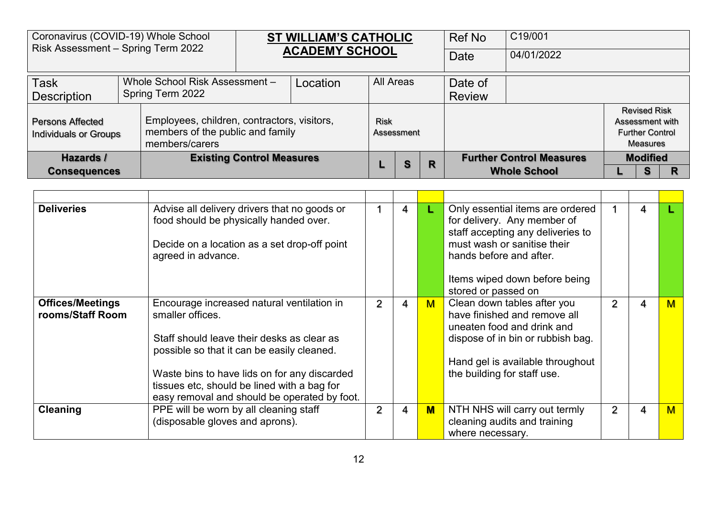| Coronavirus (COVID-19) Whole School<br>Risk Assessment - Spring Term 2022 |                  |                                                                                                   | <b>ST WILLIAM'S CATHOLIC</b> |                  |            |  | Ref No                          | C19/001             |                 |                                                           |  |
|---------------------------------------------------------------------------|------------------|---------------------------------------------------------------------------------------------------|------------------------------|------------------|------------|--|---------------------------------|---------------------|-----------------|-----------------------------------------------------------|--|
|                                                                           |                  |                                                                                                   | <b>ACADEMY SCHOOL</b>        |                  |            |  | Date                            | 04/01/2022          |                 |                                                           |  |
| <b>Task</b>                                                               |                  | Whole School Risk Assessment -                                                                    | Location                     | <b>All Areas</b> |            |  | Date of                         |                     |                 |                                                           |  |
| <b>Description</b>                                                        | Spring Term 2022 |                                                                                                   |                              |                  |            |  | <b>Review</b>                   |                     |                 |                                                           |  |
| <b>Persons Affected</b><br><b>Individuals or Groups</b>                   |                  | Employees, children, contractors, visitors,<br>members of the public and family<br>members/carers |                              | <b>Risk</b>      | Assessment |  |                                 |                     | Assessment with | <b>Revised Risk</b><br><b>Further Control</b><br>Measures |  |
| <b>Existing Control Measures</b><br>Hazards /                             |                  |                                                                                                   |                              | S                | R          |  | <b>Further Control Measures</b> |                     | <b>Modified</b> |                                                           |  |
| <b>Consequences</b>                                                       |                  |                                                                                                   |                              |                  |            |  |                                 | <b>Whole School</b> |                 |                                                           |  |

| <b>Deliveries</b>                           | Advise all delivery drivers that no goods or<br>food should be physically handed over.<br>Decide on a location as a set drop-off point<br>agreed in advance.                                                                                              |                | 4 |              | Only essential items are ordered<br>for delivery. Any member of<br>staff accepting any deliveries to<br>must wash or sanitise their<br>hands before and after.                                    |   | 4 |   |
|---------------------------------------------|-----------------------------------------------------------------------------------------------------------------------------------------------------------------------------------------------------------------------------------------------------------|----------------|---|--------------|---------------------------------------------------------------------------------------------------------------------------------------------------------------------------------------------------|---|---|---|
|                                             |                                                                                                                                                                                                                                                           |                |   |              | Items wiped down before being<br>stored or passed on                                                                                                                                              |   |   |   |
| <b>Offices/Meetings</b><br>rooms/Staff Room | Encourage increased natural ventilation in<br>smaller offices.<br>Staff should leave their desks as clear as<br>possible so that it can be easily cleaned.<br>Waste bins to have lids on for any discarded<br>tissues etc, should be lined with a bag for | 2              | 4 | M            | Clean down tables after you<br>have finished and remove all<br>uneaten food and drink and<br>dispose of in bin or rubbish bag.<br>Hand gel is available throughout<br>the building for staff use. |   | 4 | M |
|                                             | easy removal and should be operated by foot.                                                                                                                                                                                                              |                |   |              |                                                                                                                                                                                                   |   |   |   |
| <b>Cleaning</b>                             | PPE will be worn by all cleaning staff<br>(disposable gloves and aprons).                                                                                                                                                                                 | $\overline{2}$ | 4 | $\mathbf{M}$ | NTH NHS will carry out termly<br>cleaning audits and training<br>where necessary.                                                                                                                 | 2 | 4 | M |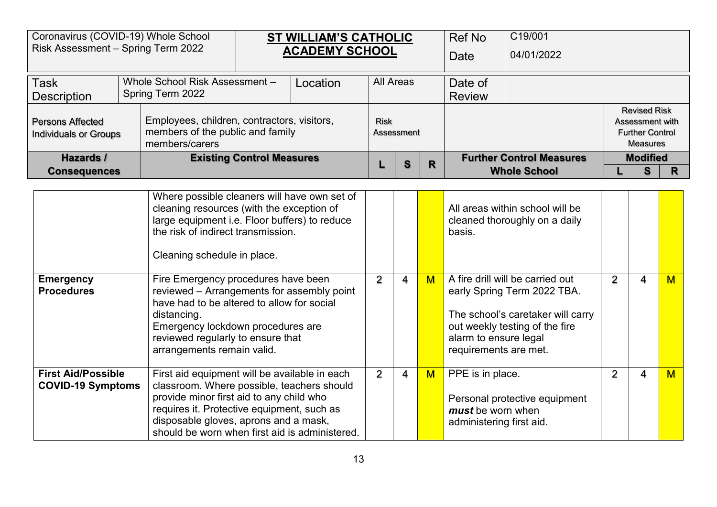| Coronavirus (COVID-19) Whole School<br>Risk Assessment - Spring Term 2022 |  |                                                                                                   |                                  | <b>ST WILLIAM'S CATHOLIC</b> |                  |            |   | <b>Ref No</b> | C19/001                         |                                                                                     |   |
|---------------------------------------------------------------------------|--|---------------------------------------------------------------------------------------------------|----------------------------------|------------------------------|------------------|------------|---|---------------|---------------------------------|-------------------------------------------------------------------------------------|---|
|                                                                           |  |                                                                                                   |                                  | <b>ACADEMY SCHOOL</b>        |                  |            |   | Date          | 04/01/2022                      |                                                                                     |   |
| <b>Task</b>                                                               |  | Whole School Risk Assessment -                                                                    |                                  | Location                     | <b>All Areas</b> |            |   | Date of       |                                 |                                                                                     |   |
| <b>Description</b>                                                        |  | Spring Term 2022                                                                                  |                                  |                              |                  |            |   | <b>Review</b> |                                 |                                                                                     |   |
| <b>Persons Affected</b><br><b>Individuals or Groups</b>                   |  | Employees, children, contractors, visitors,<br>members of the public and family<br>members/carers |                                  |                              | <b>Risk</b>      | Assessment |   |               |                                 | <b>Revised Risk</b><br>Assessment with<br><b>Further Control</b><br><b>Measures</b> |   |
| Hazards /                                                                 |  |                                                                                                   | <b>Existing Control Measures</b> |                              |                  | S          | R |               | <b>Further Control Measures</b> | <b>Modified</b>                                                                     |   |
| <b>Consequences</b>                                                       |  |                                                                                                   |                                  |                              |                  |            |   |               | <b>Whole School</b>             | s                                                                                   | R |
|                                                                           |  | Where possible cleaners will have own set of                                                      |                                  |                              |                  |            |   |               |                                 |                                                                                     |   |

|                                                       | <u>VILLETE POSSIDIE CIERITEI S WIII HAVE OWN SEL OF</u><br>cleaning resources (with the exception of<br>large equipment i.e. Floor buffers) to reduce<br>the risk of indirect transmission.<br>Cleaning schedule in place.                                                       |   |   |             | All areas within school will be<br>cleaned thoroughly on a daily<br>basis.                                                                                                               |                |   |   |
|-------------------------------------------------------|----------------------------------------------------------------------------------------------------------------------------------------------------------------------------------------------------------------------------------------------------------------------------------|---|---|-------------|------------------------------------------------------------------------------------------------------------------------------------------------------------------------------------------|----------------|---|---|
| <b>Emergency</b><br><b>Procedures</b>                 | Fire Emergency procedures have been<br>reviewed - Arrangements for assembly point<br>have had to be altered to allow for social<br>distancing.<br>Emergency lockdown procedures are<br>reviewed regularly to ensure that<br>arrangements remain valid.                           | 2 | 4 | $\mathbf M$ | A fire drill will be carried out<br>early Spring Term 2022 TBA.<br>The school's caretaker will carry<br>out weekly testing of the fire<br>alarm to ensure legal<br>requirements are met. | $\overline{2}$ | 4 | M |
| <b>First Aid/Possible</b><br><b>COVID-19 Symptoms</b> | First aid equipment will be available in each<br>classroom. Where possible, teachers should<br>provide minor first aid to any child who<br>requires it. Protective equipment, such as<br>disposable gloves, aprons and a mask,<br>should be worn when first aid is administered. | 2 | 4 | M           | PPE is in place.<br>Personal protective equipment<br>must be worn when<br>administering first aid.                                                                                       | 2              | 4 | M |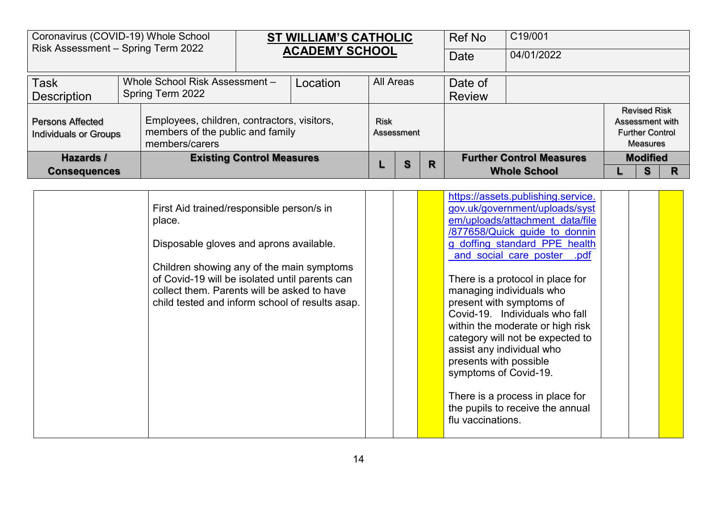| Coronavirus (COVID-19) Whole School<br>Risk Assessment - Spring Term 2022 |                                  |                                                                                                   | ST WILLIAM'S CATHOLIC |             |            |   | Ref No        | C19/001                         |                 |                                                                  |   |
|---------------------------------------------------------------------------|----------------------------------|---------------------------------------------------------------------------------------------------|-----------------------|-------------|------------|---|---------------|---------------------------------|-----------------|------------------------------------------------------------------|---|
|                                                                           |                                  |                                                                                                   | <b>ACADEMY SCHOOL</b> |             |            |   | Date          | 04/01/2022                      |                 |                                                                  |   |
| <b>Task</b>                                                               |                                  | Whole School Risk Assessment -                                                                    | Location              | All Areas   |            |   | Date of       |                                 |                 |                                                                  |   |
| <b>Description</b>                                                        |                                  | Spring Term 2022                                                                                  |                       |             |            |   | <b>Review</b> |                                 |                 |                                                                  |   |
| <b>Persons Affected</b><br><b>Individuals or Groups</b>                   |                                  | Employees, children, contractors, visitors,<br>members of the public and family<br>members/carers |                       | <b>Risk</b> | Assessment |   |               |                                 | Assessment with | <b>Revised Risk</b><br><b>Further Control</b><br><b>Measures</b> |   |
| Hazards /                                                                 | <b>Existing Control Measures</b> |                                                                                                   |                       |             | S          | R |               | <b>Further Control Measures</b> |                 | <b>Modified</b>                                                  |   |
|                                                                           | <b>Consequences</b>              |                                                                                                   |                       |             |            |   |               | <b>Whole School</b>             |                 | S                                                                | R |

| First Aid trained/responsible person/s in<br>place.<br>Disposable gloves and aprons available.<br>Children showing any of the main symptoms<br>of Covid-19 will be isolated until parents can<br>collect them. Parents will be asked to have<br>child tested and inform school of results asap. |  | https://assets.publishing.service.<br>gov.uk/government/uploads/syst<br>em/uploads/attachment data/file<br>/877658/Quick guide to donnin<br>g doffing standard PPE health<br>and social care poster .pdf<br>There is a protocol in place for<br>managing individuals who<br>present with symptoms of<br>Covid-19. Individuals who fall<br>within the moderate or high risk<br>category will not be expected to<br>assist any individual who<br>presents with possible<br>symptoms of Covid-19. |  |
|-------------------------------------------------------------------------------------------------------------------------------------------------------------------------------------------------------------------------------------------------------------------------------------------------|--|------------------------------------------------------------------------------------------------------------------------------------------------------------------------------------------------------------------------------------------------------------------------------------------------------------------------------------------------------------------------------------------------------------------------------------------------------------------------------------------------|--|
|                                                                                                                                                                                                                                                                                                 |  | There is a process in place for<br>the pupils to receive the annual<br>flu vaccinations.                                                                                                                                                                                                                                                                                                                                                                                                       |  |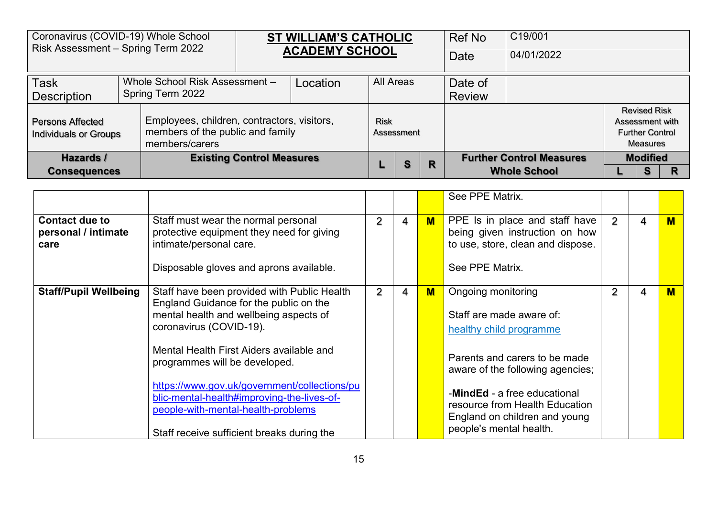| Coronavirus (COVID-19) Whole School<br>Risk Assessment - Spring Term 2022 |                                  |                                                                                                   |  | <b>ST WILLIAM'S CATHOLIC</b> |             |            |   | <b>Ref No</b> | C19/001                         |                                                                                     |  |
|---------------------------------------------------------------------------|----------------------------------|---------------------------------------------------------------------------------------------------|--|------------------------------|-------------|------------|---|---------------|---------------------------------|-------------------------------------------------------------------------------------|--|
|                                                                           |                                  |                                                                                                   |  | <b>ACADEMY SCHOOL</b>        |             |            |   | Date          | 04/01/2022                      |                                                                                     |  |
| <b>Task</b>                                                               |                                  | Whole School Risk Assessment -                                                                    |  | Location                     |             | All Areas  |   | Date of       |                                 |                                                                                     |  |
| <b>Description</b>                                                        | Spring Term 2022                 |                                                                                                   |  |                              |             |            |   | <b>Review</b> |                                 |                                                                                     |  |
| <b>Persons Affected</b><br><b>Individuals or Groups</b>                   |                                  | Employees, children, contractors, visitors,<br>members of the public and family<br>members/carers |  |                              | <b>Risk</b> | Assessment |   |               |                                 | <b>Revised Risk</b><br>Assessment with<br><b>Further Control</b><br><b>Measures</b> |  |
| Hazards /                                                                 | <b>Existing Control Measures</b> |                                                                                                   |  |                              |             | s          | R |               | <b>Further Control Measures</b> | <b>Modified</b>                                                                     |  |
|                                                                           | <b>Consequences</b>              |                                                                                                   |  |                              |             |            |   |               | <b>Whole School</b>             | S                                                                                   |  |

|                                                      |                                                                                                                                                                                                                 |                |   |     | See PPE Matrix.                                                                                                                                                                                 |   |   |   |
|------------------------------------------------------|-----------------------------------------------------------------------------------------------------------------------------------------------------------------------------------------------------------------|----------------|---|-----|-------------------------------------------------------------------------------------------------------------------------------------------------------------------------------------------------|---|---|---|
| <b>Contact due to</b><br>personal / intimate<br>care | Staff must wear the normal personal<br>protective equipment they need for giving<br>intimate/personal care.<br>Disposable gloves and aprons available.                                                          | $\overline{2}$ | 4 | M   | PPE Is in place and staff have<br>being given instruction on how<br>to use, store, clean and dispose.<br>See PPE Matrix.                                                                        | 2 | 4 | M |
| <b>Staff/Pupil Wellbeing</b>                         | Staff have been provided with Public Health<br>England Guidance for the public on the<br>mental health and wellbeing aspects of<br>coronavirus (COVID-19).<br>Mental Health First Aiders available and          | $\overline{2}$ | 4 | $M$ | Ongoing monitoring<br>Staff are made aware of:<br>healthy child programme                                                                                                                       |   | 4 | M |
|                                                      | programmes will be developed.<br>https://www.gov.uk/government/collections/pu<br>blic-mental-health#improving-the-lives-of-<br>people-with-mental-health-problems<br>Staff receive sufficient breaks during the |                |   |     | Parents and carers to be made<br>aware of the following agencies;<br>-MindEd - a free educational<br>resource from Health Education<br>England on children and young<br>people's mental health. |   |   |   |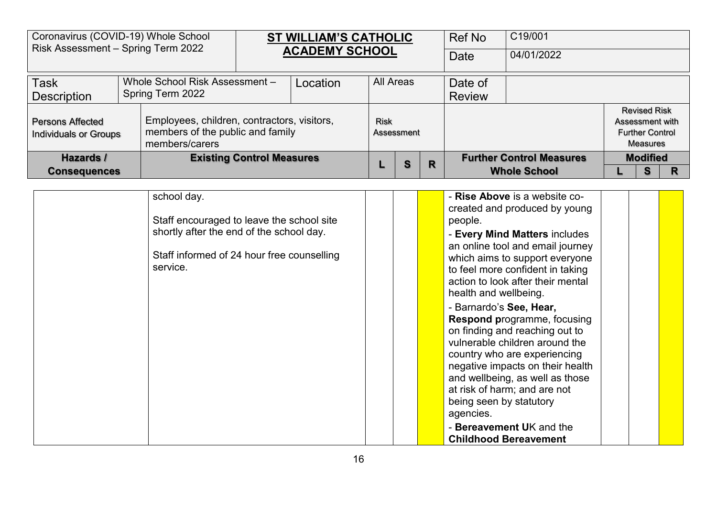| Coronavirus (COVID-19) Whole School<br>Risk Assessment - Spring Term 2022 |                                  |                                                                                                   | <b>ST WILLIAM'S CATHOLIC</b> |                  |            |   | Ref No        | C19/001                         |  |                                                                                     |   |
|---------------------------------------------------------------------------|----------------------------------|---------------------------------------------------------------------------------------------------|------------------------------|------------------|------------|---|---------------|---------------------------------|--|-------------------------------------------------------------------------------------|---|
|                                                                           |                                  |                                                                                                   | <b>ACADEMY SCHOOL</b>        |                  |            |   | Date          | 04/01/2022                      |  |                                                                                     |   |
| <b>Task</b>                                                               |                                  | Whole School Risk Assessment -                                                                    | Location                     | <b>All Areas</b> |            |   | Date of       |                                 |  |                                                                                     |   |
| <b>Description</b>                                                        |                                  | Spring Term 2022                                                                                  |                              |                  |            |   | <b>Review</b> |                                 |  |                                                                                     |   |
| <b>Persons Affected</b><br><b>Individuals or Groups</b>                   |                                  | Employees, children, contractors, visitors,<br>members of the public and family<br>members/carers |                              | <b>Risk</b>      | Assessment |   |               |                                 |  | <b>Revised Risk</b><br>Assessment with<br><b>Further Control</b><br><b>Measures</b> |   |
| Hazards /                                                                 | <b>Existing Control Measures</b> |                                                                                                   |                              |                  | S          | R |               | <b>Further Control Measures</b> |  | <b>Modified</b>                                                                     |   |
|                                                                           | <b>Consequences</b>              |                                                                                                   |                              |                  |            |   |               | <b>Whole School</b>             |  | S                                                                                   | R |

| school day.<br>Staff encouraged to leave the school site<br>shortly after the end of the school day.<br>Staff informed of 24 hour free counselling<br>service. | - Rise Above is a website co-<br>created and produced by young<br>people.<br>- Every Mind Matters includes<br>an online tool and email journey<br>which aims to support everyone<br>to feel more confident in taking<br>action to look after their mental<br>health and wellbeing.                                                                                           |
|----------------------------------------------------------------------------------------------------------------------------------------------------------------|------------------------------------------------------------------------------------------------------------------------------------------------------------------------------------------------------------------------------------------------------------------------------------------------------------------------------------------------------------------------------|
|                                                                                                                                                                | - Barnardo's See, Hear,<br><b>Respond programme, focusing</b><br>on finding and reaching out to<br>vulnerable children around the<br>country who are experiencing<br>negative impacts on their health<br>and wellbeing, as well as those<br>at risk of harm; and are not<br>being seen by statutory<br>agencies.<br>- Bereavement UK and the<br><b>Childhood Bereavement</b> |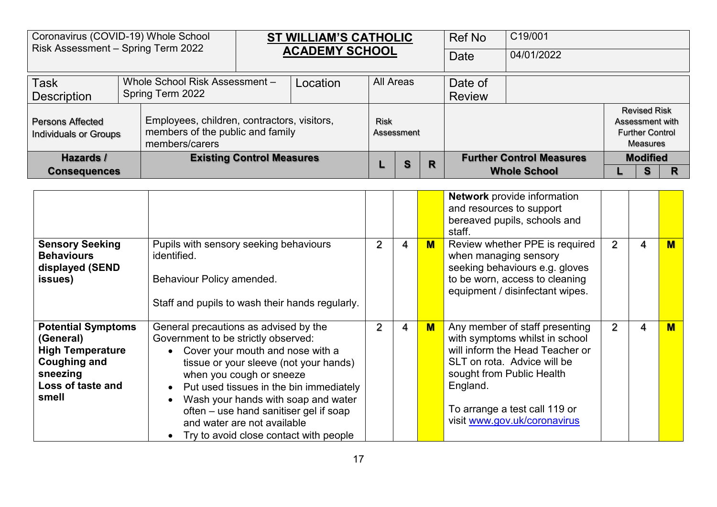| Coronavirus (COVID-19) Whole School<br>Risk Assessment - Spring Term 2022 |                     |                                                                                                   |  | <b>ST WILLIAM'S CATHOLIC</b> |             |            |  | Ref No                          | C19/001             |                                                                                     |   |
|---------------------------------------------------------------------------|---------------------|---------------------------------------------------------------------------------------------------|--|------------------------------|-------------|------------|--|---------------------------------|---------------------|-------------------------------------------------------------------------------------|---|
|                                                                           |                     |                                                                                                   |  | <b>ACADEMY SCHOOL</b>        |             |            |  | Date                            | 04/01/2022          |                                                                                     |   |
| <b>Task</b>                                                               |                     | Whole School Risk Assessment -                                                                    |  | Location                     | All Areas   |            |  | Date of                         |                     |                                                                                     |   |
| <b>Description</b>                                                        |                     | Spring Term 2022                                                                                  |  |                              |             |            |  | <b>Review</b>                   |                     |                                                                                     |   |
| <b>Persons Affected</b><br><b>Individuals or Groups</b>                   |                     | Employees, children, contractors, visitors,<br>members of the public and family<br>members/carers |  |                              | <b>Risk</b> | Assessment |  |                                 |                     | <b>Revised Risk</b><br>Assessment with<br><b>Further Control</b><br><b>Measures</b> |   |
| <b>Existing Control Measures</b><br>Hazards /                             |                     |                                                                                                   |  |                              | S           | R          |  | <b>Further Control Measures</b> | <b>Modified</b>     |                                                                                     |   |
|                                                                           | <b>Consequences</b> |                                                                                                   |  |                              |             |            |  |                                 | <b>Whole School</b> | S                                                                                   | R |

|                                                                                                                                    |                                                                                                                                                                                                                                                                                                                                                                                               |                |   |     | <b>Network</b> provide information<br>and resources to support<br>bereaved pupils, schools and<br>staff.                                                                                                                                     |   |   |                         |
|------------------------------------------------------------------------------------------------------------------------------------|-----------------------------------------------------------------------------------------------------------------------------------------------------------------------------------------------------------------------------------------------------------------------------------------------------------------------------------------------------------------------------------------------|----------------|---|-----|----------------------------------------------------------------------------------------------------------------------------------------------------------------------------------------------------------------------------------------------|---|---|-------------------------|
| <b>Sensory Seeking</b><br><b>Behaviours</b><br>displayed (SEND<br>issues)                                                          | Pupils with sensory seeking behaviours<br>identified.<br>Behaviour Policy amended.<br>Staff and pupils to wash their hands regularly.                                                                                                                                                                                                                                                         | $\overline{2}$ | 4 | $M$ | Review whether PPE is required<br>when managing sensory<br>seeking behaviours e.g. gloves<br>to be worn, access to cleaning<br>equipment / disinfectant wipes.                                                                               | 2 | 4 | M                       |
| <b>Potential Symptoms</b><br>(General)<br><b>High Temperature</b><br><b>Coughing and</b><br>sneezing<br>Loss of taste and<br>smell | General precautions as advised by the<br>Government to be strictly observed:<br>• Cover your mouth and nose with a<br>tissue or your sleeve (not your hands)<br>when you cough or sneeze<br>Put used tissues in the bin immediately<br>Wash your hands with soap and water<br>often – use hand sanitiser gel if soap<br>and water are not available<br>Try to avoid close contact with people | $\overline{2}$ | 4 | $M$ | Any member of staff presenting<br>with symptoms whilst in school<br>will inform the Head Teacher or<br>SLT on rota. Advice will be<br>sought from Public Health<br>England.<br>To arrange a test call 119 or<br>visit www.gov.uk/coronavirus | 2 | 4 | $\overline{\mathsf{M}}$ |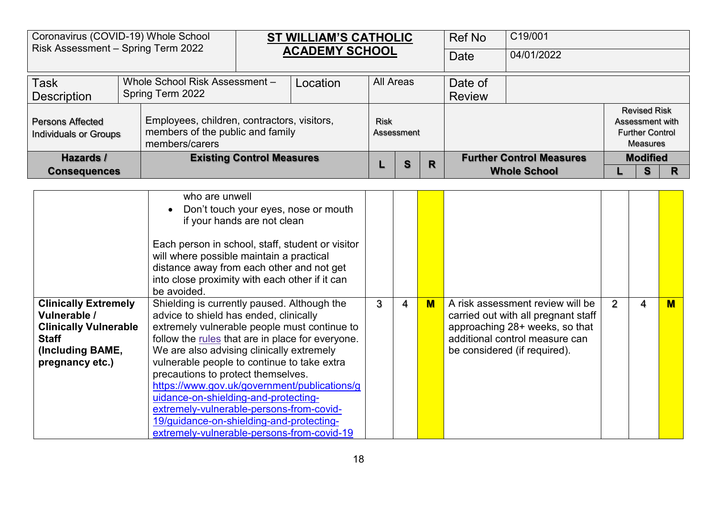| Coronavirus (COVID-19) Whole School<br>Risk Assessment - Spring Term 2022                                                          |                                                                                                                                                                                                                                                                                                                             |                                  | <b>ST WILLIAM'S CATHOLIC</b><br><b>ACADEMY SCHOOL</b> |                  |            |             | <b>Ref No</b><br>Date    | C19/001<br>04/01/2022                                                                                                                                                       |                |                                                                                     |              |
|------------------------------------------------------------------------------------------------------------------------------------|-----------------------------------------------------------------------------------------------------------------------------------------------------------------------------------------------------------------------------------------------------------------------------------------------------------------------------|----------------------------------|-------------------------------------------------------|------------------|------------|-------------|--------------------------|-----------------------------------------------------------------------------------------------------------------------------------------------------------------------------|----------------|-------------------------------------------------------------------------------------|--------------|
| <b>Task</b><br><b>Description</b>                                                                                                  | Whole School Risk Assessment -<br>Spring Term 2022                                                                                                                                                                                                                                                                          |                                  | Location                                              | <b>All Areas</b> |            |             | Date of<br><b>Review</b> |                                                                                                                                                                             |                |                                                                                     |              |
| <b>Persons Affected</b><br><b>Individuals or Groups</b>                                                                            | Employees, children, contractors, visitors,<br>members of the public and family<br>members/carers                                                                                                                                                                                                                           |                                  |                                                       | <b>Risk</b>      | Assessment |             |                          |                                                                                                                                                                             |                | <b>Revised Risk</b><br>Assessment with<br><b>Further Control</b><br><b>Measures</b> |              |
| Hazards /<br><b>Consequences</b>                                                                                                   |                                                                                                                                                                                                                                                                                                                             | <b>Existing Control Measures</b> |                                                       |                  |            | $\mathbf R$ |                          | <b>Further Control Measures</b><br><b>Whole School</b>                                                                                                                      |                | <b>Modified</b><br>S                                                                | $\mathsf{R}$ |
|                                                                                                                                    |                                                                                                                                                                                                                                                                                                                             | who are unwell                   |                                                       |                  |            |             |                          |                                                                                                                                                                             |                |                                                                                     |              |
|                                                                                                                                    | Each person in school, staff, student or visitor<br>will where possible maintain a practical<br>distance away from each other and not get<br>into close proximity with each other if it can<br>be avoided.                                                                                                                  | if your hands are not clean      | Don't touch your eyes, nose or mouth                  |                  |            |             |                          |                                                                                                                                                                             |                |                                                                                     |              |
| <b>Clinically Extremely</b><br>Vulnerable /<br><b>Clinically Vulnerable</b><br><b>Staff</b><br>(Including BAME,<br>pregnancy etc.) | Shielding is currently paused. Although the<br>advice to shield has ended, clinically<br>extremely vulnerable people must continue to<br>follow the rules that are in place for everyone.<br>We are also advising clinically extremely<br>vulnerable people to continue to take extra<br>precautions to protect themselves. |                                  |                                                       | 3                | 4          | $M$         |                          | A risk assessment review will be<br>carried out with all pregnant staff<br>approaching 28+ weeks, so that<br>additional control measure can<br>be considered (if required). | $\overline{2}$ | 4                                                                                   | M            |

[https://www.gov.uk/government/publications/g](https://www.gov.uk/government/publications/guidance-on-shielding-and-protecting-extremely-vulnerable-persons-from-covid-19/guidance-on-shielding-and-protecting-extremely-vulnerable-persons-from-covid-19)

[uidance-on-shielding-and-protecting](https://www.gov.uk/government/publications/guidance-on-shielding-and-protecting-extremely-vulnerable-persons-from-covid-19/guidance-on-shielding-and-protecting-extremely-vulnerable-persons-from-covid-19)[extremely-vulnerable-persons-from-covid-](https://www.gov.uk/government/publications/guidance-on-shielding-and-protecting-extremely-vulnerable-persons-from-covid-19/guidance-on-shielding-and-protecting-extremely-vulnerable-persons-from-covid-19)[19/guidance-on-shielding-and-protecting](https://www.gov.uk/government/publications/guidance-on-shielding-and-protecting-extremely-vulnerable-persons-from-covid-19/guidance-on-shielding-and-protecting-extremely-vulnerable-persons-from-covid-19)[extremely-vulnerable-persons-from-covid-19](https://www.gov.uk/government/publications/guidance-on-shielding-and-protecting-extremely-vulnerable-persons-from-covid-19/guidance-on-shielding-and-protecting-extremely-vulnerable-persons-from-covid-19)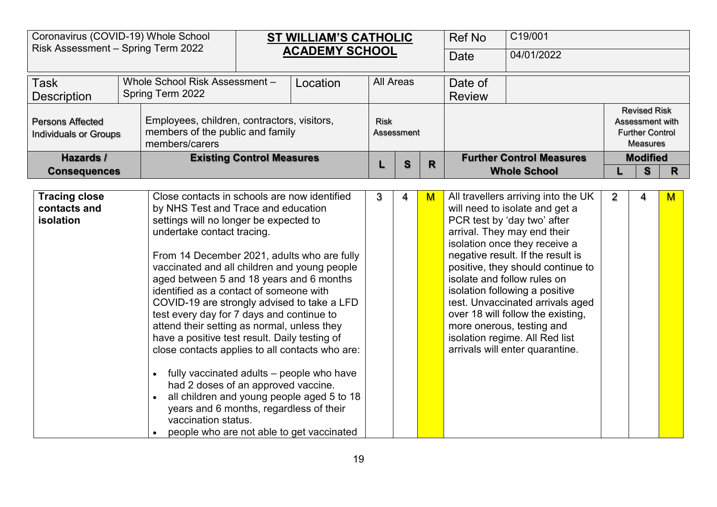| Coronavirus (COVID-19) Whole School<br>Risk Assessment - Spring Term 2022 |                                                                                                                                                                                                                                                                                                                                                                                                                                                                                                                                                                                                                                                                                                                           |                                                                                                                         | <b>ST WILLIAM'S CATHOLIC</b>               |             |                  |   | <b>Ref No</b>            | C19/001                                                                                                                                                                                                                                                                                                                                                                                                                                                                                    |                |                                                                                     |              |  |
|---------------------------------------------------------------------------|---------------------------------------------------------------------------------------------------------------------------------------------------------------------------------------------------------------------------------------------------------------------------------------------------------------------------------------------------------------------------------------------------------------------------------------------------------------------------------------------------------------------------------------------------------------------------------------------------------------------------------------------------------------------------------------------------------------------------|-------------------------------------------------------------------------------------------------------------------------|--------------------------------------------|-------------|------------------|---|--------------------------|--------------------------------------------------------------------------------------------------------------------------------------------------------------------------------------------------------------------------------------------------------------------------------------------------------------------------------------------------------------------------------------------------------------------------------------------------------------------------------------------|----------------|-------------------------------------------------------------------------------------|--------------|--|
|                                                                           |                                                                                                                                                                                                                                                                                                                                                                                                                                                                                                                                                                                                                                                                                                                           |                                                                                                                         | <b>ACADEMY SCHOOL</b>                      |             |                  |   | <b>Date</b>              | 04/01/2022                                                                                                                                                                                                                                                                                                                                                                                                                                                                                 |                |                                                                                     |              |  |
| <b>Task</b><br><b>Description</b>                                         | Whole School Risk Assessment -<br>Spring Term 2022                                                                                                                                                                                                                                                                                                                                                                                                                                                                                                                                                                                                                                                                        |                                                                                                                         | Location                                   |             | <b>All Areas</b> |   | Date of<br><b>Review</b> |                                                                                                                                                                                                                                                                                                                                                                                                                                                                                            |                |                                                                                     |              |  |
| <b>Persons Affected</b><br><b>Individuals or Groups</b>                   | Employees, children, contractors, visitors,<br>members of the public and family<br>members/carers                                                                                                                                                                                                                                                                                                                                                                                                                                                                                                                                                                                                                         |                                                                                                                         |                                            | <b>Risk</b> | Assessment       |   |                          |                                                                                                                                                                                                                                                                                                                                                                                                                                                                                            |                | <b>Revised Risk</b><br>Assessment with<br><b>Further Control</b><br><b>Measures</b> |              |  |
| Hazards /<br><b>Consequences</b>                                          |                                                                                                                                                                                                                                                                                                                                                                                                                                                                                                                                                                                                                                                                                                                           | <b>Existing Control Measures</b><br>Close contacts in schools are now identified<br>by NHS Test and Trace and education |                                            |             |                  |   |                          | <b>Further Control Measures</b><br><b>Whole School</b>                                                                                                                                                                                                                                                                                                                                                                                                                                     |                | <b>Modified</b><br>S                                                                | $\mathsf{R}$ |  |
| <b>Tracing close</b><br>contacts and<br>isolation                         | settings will no longer be expected to<br>undertake contact tracing.<br>From 14 December 2021, adults who are fully<br>vaccinated and all children and young people<br>aged between 5 and 18 years and 6 months<br>identified as a contact of someone with<br>COVID-19 are strongly advised to take a LFD<br>test every day for 7 days and continue to<br>attend their setting as normal, unless they<br>have a positive test result. Daily testing of<br>close contacts applies to all contacts who are:<br>fully vaccinated adults – people who have<br>$\bullet$<br>had 2 doses of an approved vaccine.<br>years and 6 months, regardless of their<br>vaccination status.<br>people who are not able to get vaccinated |                                                                                                                         | all children and young people aged 5 to 18 | 3           | 4                | M |                          | All travellers arriving into the UK<br>will need to isolate and get a<br>PCR test by 'day two' after<br>arrival. They may end their<br>isolation once they receive a<br>negative result. If the result is<br>positive, they should continue to<br>isolate and follow rules on<br>isolation following a positive<br>test. Unvaccinated arrivals aged<br>over 18 will follow the existing,<br>more onerous, testing and<br>isolation regime. All Red list<br>arrivals will enter quarantine. | $\overline{2}$ | 4                                                                                   | $M$          |  |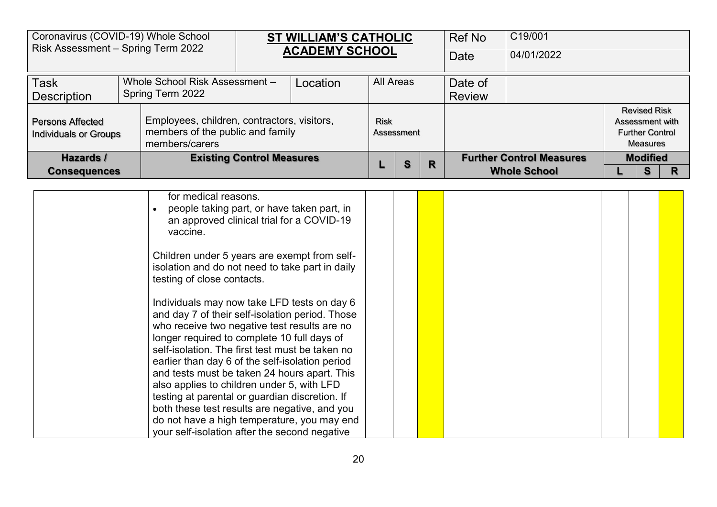|                                                         | Coronavirus (COVID-19) Whole School<br>Risk Assessment - Spring Term 2022 |                                                                                                   |                                  | ST WILLIAM'S CATHOLIC<br><b>ACADEMY SCHOOL</b> |            |  | <b>Ref No</b> | C19/001                         |                     |                                                                              |   |   |
|---------------------------------------------------------|---------------------------------------------------------------------------|---------------------------------------------------------------------------------------------------|----------------------------------|------------------------------------------------|------------|--|---------------|---------------------------------|---------------------|------------------------------------------------------------------------------|---|---|
|                                                         |                                                                           |                                                                                                   |                                  |                                                |            |  |               | Date                            | 04/01/2022          |                                                                              |   |   |
| <b>Task</b><br><b>Description</b>                       |                                                                           | Whole School Risk Assessment -<br>Spring Term 2022                                                |                                  | Location                                       | All Areas  |  |               | Date of<br><b>Review</b>        |                     |                                                                              |   |   |
| <b>Persons Affected</b><br><b>Individuals or Groups</b> |                                                                           | Employees, children, contractors, visitors,<br>members of the public and family<br>members/carers |                                  | Risk                                           | Assessment |  |               |                                 |                     | <b>Revised Risk</b><br>Assessment with<br><b>Further Control</b><br>Measures |   |   |
| Hazards /                                               |                                                                           |                                                                                                   | <b>Existing Control Measures</b> |                                                | S<br>R     |  |               | <b>Further Control Measures</b> | <b>Modified</b>     |                                                                              |   |   |
| <b>Consequences</b>                                     |                                                                           |                                                                                                   |                                  |                                                |            |  |               |                                 | <b>Whole School</b> |                                                                              | S | R |
|                                                         |                                                                           | for medical reasons.<br>people taking part, or have taken part, in<br>$\bullet$                   |                                  |                                                |            |  |               |                                 |                     |                                                                              |   |   |

| testing of close contacts.                      |  |  |  |  |  |
|-------------------------------------------------|--|--|--|--|--|
| Individuals may now take LFD tests on day 6     |  |  |  |  |  |
| and day 7 of their self-isolation period. Those |  |  |  |  |  |
| who receive two negative test results are no    |  |  |  |  |  |
| longer required to complete 10 full days of     |  |  |  |  |  |
| self-isolation. The first test must be taken no |  |  |  |  |  |
| earlier than day 6 of the self-isolation period |  |  |  |  |  |
| and tests must be taken 24 hours apart. This    |  |  |  |  |  |
| also applies to children under 5, with LFD      |  |  |  |  |  |
| testing at parental or guardian discretion. If  |  |  |  |  |  |
| both these test results are negative, and you   |  |  |  |  |  |
| do not have a high temperature, you may end     |  |  |  |  |  |
| your self-isolation after the second negative   |  |  |  |  |  |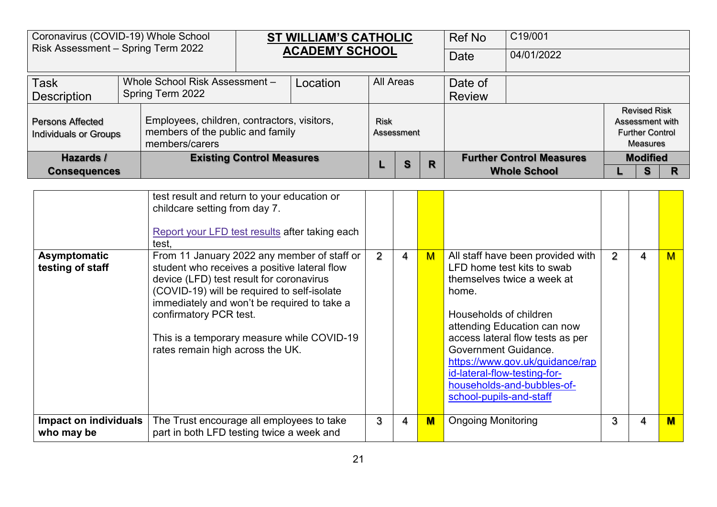| Coronavirus (COVID-19) Whole School<br>Risk Assessment - Spring Term 2022                                                                             |  |                                  | <b>ST WILLIAM'S CATHOLIC</b> |             |            | Ref No | C19/001 |                                 |  |                                                                                     |  |  |
|-------------------------------------------------------------------------------------------------------------------------------------------------------|--|----------------------------------|------------------------------|-------------|------------|--------|---------|---------------------------------|--|-------------------------------------------------------------------------------------|--|--|
|                                                                                                                                                       |  |                                  | <b>ACADEMY SCHOOL</b>        |             |            |        | Date    | 04/01/2022                      |  |                                                                                     |  |  |
| <b>Task</b><br>Whole School Risk Assessment-                                                                                                          |  |                                  | Location                     |             | All Areas  |        | Date of |                                 |  |                                                                                     |  |  |
| <b>Description</b>                                                                                                                                    |  | Spring Term 2022                 |                              |             |            |        |         | <b>Review</b>                   |  |                                                                                     |  |  |
| Employees, children, contractors, visitors,<br>Persons Affected<br>members of the public and family<br><b>Individuals or Groups</b><br>members/carers |  |                                  |                              | <b>Risk</b> | Assessment |        |         |                                 |  | <b>Revised Risk</b><br>Assessment with<br><b>Further Control</b><br><b>Measures</b> |  |  |
| Hazards /                                                                                                                                             |  | <b>Existing Control Measures</b> |                              |             | S          | R      |         | <b>Further Control Measures</b> |  | <b>Modified</b>                                                                     |  |  |
| <b>Consequences</b>                                                                                                                                   |  |                                  |                              |             |            |        |         | <b>Whole School</b>             |  | S                                                                                   |  |  |

|                                     | test result and return to your education or<br>childcare setting from day 7.<br>Report your LFD test results after taking each<br>test.                                                                                                                                                                                                           |                |                |                |                                                                                                                                                                                                                                                                                                                                                         |   |   |   |
|-------------------------------------|---------------------------------------------------------------------------------------------------------------------------------------------------------------------------------------------------------------------------------------------------------------------------------------------------------------------------------------------------|----------------|----------------|----------------|---------------------------------------------------------------------------------------------------------------------------------------------------------------------------------------------------------------------------------------------------------------------------------------------------------------------------------------------------------|---|---|---|
| Asymptomatic<br>testing of staff    | From 11 January 2022 any member of staff or<br>student who receives a positive lateral flow<br>device (LFD) test result for coronavirus<br>(COVID-19) will be required to self-isolate<br>immediately and won't be required to take a<br>confirmatory PCR test.<br>This is a temporary measure while COVID-19<br>rates remain high across the UK. | $\overline{2}$ | $\overline{4}$ | M              | All staff have been provided with<br>LFD home test kits to swab<br>themselves twice a week at<br>home.<br>Households of children<br>attending Education can now<br>access lateral flow tests as per<br>Government Guidance.<br>https://www.gov.uk/guidance/rap<br>id-lateral-flow-testing-for-<br>households-and-bubbles-of-<br>school-pupils-and-staff | 2 | 4 | м |
| Impact on individuals<br>who may be | The Trust encourage all employees to take<br>part in both LFD testing twice a week and                                                                                                                                                                                                                                                            | 3              | 4              | $\blacksquare$ | <b>Ongoing Monitoring</b>                                                                                                                                                                                                                                                                                                                               |   | 4 |   |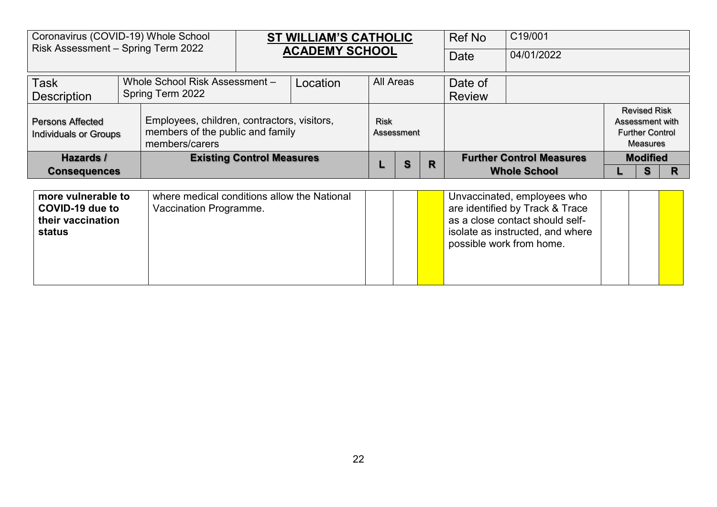| Coronavirus (COVID-19) Whole School<br>Risk Assessment - Spring Term 2022                                                                             |  |                  | <b>ST WILLIAM'S CATHOLIC</b><br><b>ACADEMY SCHOOL</b> |          |             | Ref No     | C19/001       |         |                                 |                                                                                     |  |
|-------------------------------------------------------------------------------------------------------------------------------------------------------|--|------------------|-------------------------------------------------------|----------|-------------|------------|---------------|---------|---------------------------------|-------------------------------------------------------------------------------------|--|
|                                                                                                                                                       |  |                  |                                                       |          |             |            |               | Date    | 04/01/2022                      |                                                                                     |  |
| <b>Task</b><br>Whole School Risk Assessment -                                                                                                         |  |                  |                                                       | Location | All Areas   |            |               | Date of |                                 |                                                                                     |  |
| <b>Description</b>                                                                                                                                    |  | Spring Term 2022 |                                                       |          |             |            | <b>Review</b> |         |                                 |                                                                                     |  |
| Employees, children, contractors, visitors,<br><b>Persons Affected</b><br>members of the public and family<br>Individuals or Groups<br>members/carers |  |                  |                                                       |          | <b>Risk</b> | Assessment |               |         |                                 | <b>Revised Risk</b><br>Assessment with<br><b>Further Control</b><br><b>Measures</b> |  |
| Hazards /                                                                                                                                             |  |                  | <b>Existing Control Measures</b>                      |          |             | S          | R             |         | <b>Further Control Measures</b> | <b>Modified</b>                                                                     |  |
| <b>Consequences</b>                                                                                                                                   |  |                  |                                                       |          |             |            |               |         | <b>Whole School</b>             | S                                                                                   |  |

| more vulnerable to<br>COVID-19 due to<br>their vaccination<br>status | where medical conditions allow the National<br>Vaccination Programme. |  |  |  | Unvaccinated, employees who<br>are identified by Track & Trace<br>as a close contact should self-<br>isolate as instructed, and where<br>possible work from home. |  |  |  |
|----------------------------------------------------------------------|-----------------------------------------------------------------------|--|--|--|-------------------------------------------------------------------------------------------------------------------------------------------------------------------|--|--|--|
|----------------------------------------------------------------------|-----------------------------------------------------------------------|--|--|--|-------------------------------------------------------------------------------------------------------------------------------------------------------------------|--|--|--|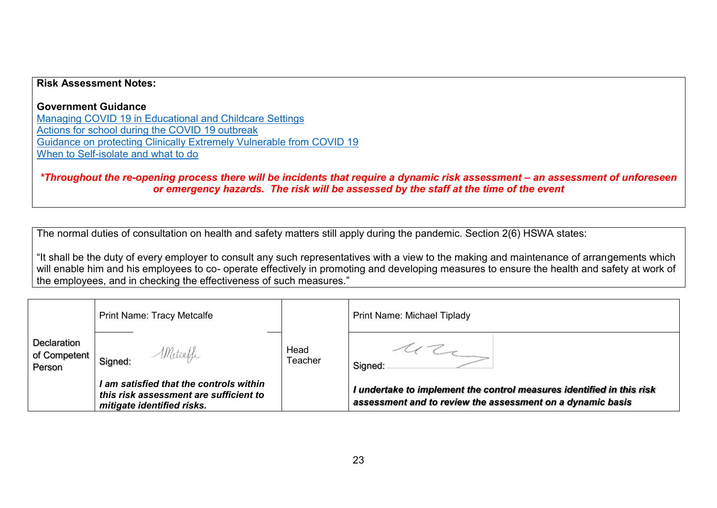## **Risk Assessment Notes:**

**Government Guidance**  [Managing COVID 19 in Educational and Childcare Settings](https://gbr01.safelinks.protection.outlook.com/?url=https%3A%2F%2Fwww.gov.uk%2Fgovernment%2Fpublications%2Fcoronavirus-covid-19-local-restrictions-in-education-and-childcare-settings%3Futm_medium%3Demail%26utm_campaign%3Dgovuk-notifications%26utm_source%3Df75efe81-efb1-40ab-bae6-f57a074b6f05%26utm_content%3Ddaily&data=04%7C01%7Ctracy.metcalfe%40avec-partnership.com%7C8d8d4d53dc9d4fe2f62a08d9663e0ddd%7Cb1cc86c88fb447ae9d62d7ce37008c63%7C0%7C0%7C637653238962812443%7CUnknown%7CTWFpbGZsb3d8eyJWIjoiMC4wLjAwMDAiLCJQIjoiV2luMzIiLCJBTiI6Ik1haWwiLCJXVCI6Mn0%3D%7C1000&sdata=GrUmotZms4kUStFalwDax6LVyVQjTjjUOpqn8XsUKvQ%3D&reserved=0) [Actions for school during the COVID 19 outbreak](https://gbr01.safelinks.protection.outlook.com/?url=https%3A%2F%2Fwww.gov.uk%2Fgovernment%2Fpublications%2Factions-for-schools-during-the-coronavirus-outbreak%3Futm_medium%3Demail%26utm_campaign%3Dgovuk-notifications%26utm_source%3Dae0d31a3-dbde-4cbf-91b2-2ed48dd33915%26utm_content%3Ddaily&data=04%7C01%7Ctracy.metcalfe%40avec-partnership.com%7C8d8d4d53dc9d4fe2f62a08d9663e0ddd%7Cb1cc86c88fb447ae9d62d7ce37008c63%7C0%7C0%7C637653238962812443%7CUnknown%7CTWFpbGZsb3d8eyJWIjoiMC4wLjAwMDAiLCJQIjoiV2luMzIiLCJBTiI6Ik1haWwiLCJXVCI6Mn0%3D%7C1000&sdata=lvHeTLaCQ6HkbsYppiLpR2dPCmdmWYEQPcipW3VtUJE%3D&reserved=0) [Guidance on protecting Clinically Extremely Vulnerable from COVID 19](https://gbr01.safelinks.protection.outlook.com/?url=https%3A%2F%2Fwww.gov.uk%2Fgovernment%2Fpublications%2Fguidance-on-shielding-and-protecting-extremely-vulnerable-persons-from-covid-19%2Fguidance-on-shielding-and-protecting-extremely-vulnerable-persons-from-covid-19&data=04%7C01%7Ctracy.metcalfe%40avec-partnership.com%7C8d8d4d53dc9d4fe2f62a08d9663e0ddd%7Cb1cc86c88fb447ae9d62d7ce37008c63%7C0%7C0%7C637653238962822399%7CUnknown%7CTWFpbGZsb3d8eyJWIjoiMC4wLjAwMDAiLCJQIjoiV2luMzIiLCJBTiI6Ik1haWwiLCJXVCI6Mn0%3D%7C1000&sdata=uhSoEOq6EDoFFxEjX%2BHgmOp1uOQRqhNek4YQaBJNDGQ%3D&reserved=0) [When to Self-isolate and what to do](https://gbr01.safelinks.protection.outlook.com/?url=https%3A%2F%2Fwww.nhs.uk%2Fconditions%2Fcoronavirus-covid-19%2Fself-isolation-and-treatment%2Fwhen-to-self-isolate-and-what-to-do%2F&data=04%7C01%7Ctracy.metcalfe%40avec-partnership.com%7C8d8d4d53dc9d4fe2f62a08d9663e0ddd%7Cb1cc86c88fb447ae9d62d7ce37008c63%7C0%7C0%7C637653238962822399%7CUnknown%7CTWFpbGZsb3d8eyJWIjoiMC4wLjAwMDAiLCJQIjoiV2luMzIiLCJBTiI6Ik1haWwiLCJXVCI6Mn0%3D%7C1000&sdata=lP05R9GJUmUczAgVvKWYEpqzdwSS%2BpCrEft0fINg3Q0%3D&reserved=0)

*\*Throughout the re-opening process there will be incidents that require a dynamic risk assessment – an assessment of unforeseen or emergency hazards. The risk will be assessed by the staff at the time of the event* 

The normal duties of consultation on health and safety matters still apply during the pandemic. Section 2(6) HSWA states:

"It shall be the duty of every employer to consult any such representatives with a view to the making and maintenance of arrangements which will enable him and his employees to co- operate effectively in promoting and developing measures to ensure the health and safety at work of the employees, and in checking the effectiveness of such measures."

|                                       | <b>Print Name: Tracy Metcalfe</b>                                                                               |                 | <b>Print Name: Michael Tiplady</b>                                                                                                  |
|---------------------------------------|-----------------------------------------------------------------------------------------------------------------|-----------------|-------------------------------------------------------------------------------------------------------------------------------------|
| Declaration<br>of Competent<br>Person | Metcaffe<br>Signed:                                                                                             | Head<br>Teacher | Signed:                                                                                                                             |
|                                       | I am satisfied that the controls within<br>this risk assessment are sufficient to<br>mitigate identified risks. |                 | I undertake to implement the control measures identified in this risk<br>assessment and to review the assessment on a dynamic basis |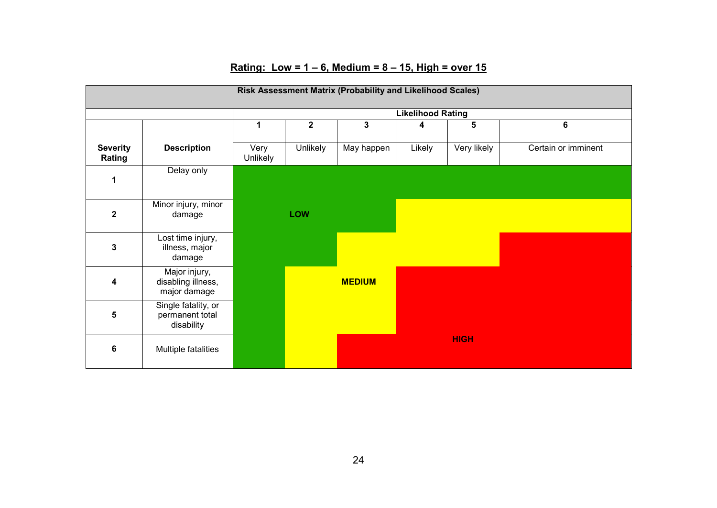|                           | Risk Assessment Matrix (Probability and Likelihood Scales) |                  |                         |               |        |             |                     |  |  |  |  |  |  |
|---------------------------|------------------------------------------------------------|------------------|-------------------------|---------------|--------|-------------|---------------------|--|--|--|--|--|--|
|                           | <b>Likelihood Rating</b>                                   |                  |                         |               |        |             |                     |  |  |  |  |  |  |
|                           |                                                            | 1                | $\overline{\mathbf{2}}$ | $\mathbf{3}$  | 4      | 5           | 6                   |  |  |  |  |  |  |
| <b>Severity</b><br>Rating | <b>Description</b>                                         | Very<br>Unlikely | <b>Unlikely</b>         | May happen    | Likely | Very likely | Certain or imminent |  |  |  |  |  |  |
| 1                         | Delay only                                                 |                  |                         |               |        |             |                     |  |  |  |  |  |  |
| $\mathbf{2}$              | Minor injury, minor<br>damage                              |                  | <b>LOW</b>              |               |        |             |                     |  |  |  |  |  |  |
| 3                         | Lost time injury,<br>illness, major<br>damage              |                  |                         |               |        |             |                     |  |  |  |  |  |  |
| 4                         | Major injury,<br>disabling illness,<br>major damage        |                  |                         | <b>MEDIUM</b> |        |             |                     |  |  |  |  |  |  |
| 5                         | Single fatality, or<br>permanent total<br>disability       |                  |                         |               |        |             |                     |  |  |  |  |  |  |
| 6                         | Multiple fatalities                                        |                  |                         |               |        | <b>HIGH</b> |                     |  |  |  |  |  |  |

## **Rating: Low = 1 – 6, Medium = 8 – 15, High = over 15**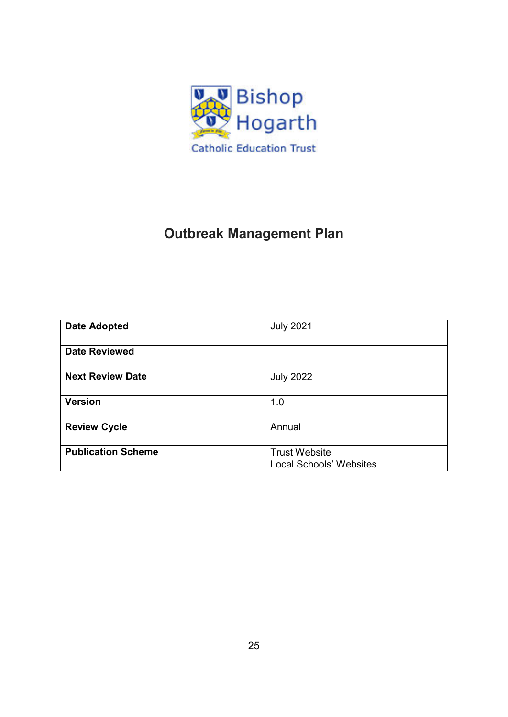

## **Outbreak Management Plan**

| <b>Date Adopted</b>       | <b>July 2021</b>                                       |
|---------------------------|--------------------------------------------------------|
| <b>Date Reviewed</b>      |                                                        |
| <b>Next Review Date</b>   | <b>July 2022</b>                                       |
| <b>Version</b>            | 1.0                                                    |
| <b>Review Cycle</b>       | Annual                                                 |
| <b>Publication Scheme</b> | <b>Trust Website</b><br><b>Local Schools' Websites</b> |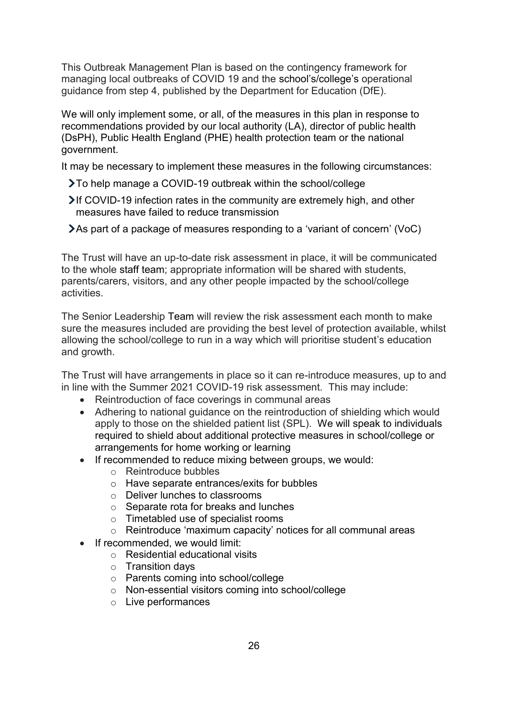This Outbreak Management Plan is based on the contingency framework for managing local outbreaks of COVID 19 and the school's/college's operational guidance from step 4, published by the Department for Education (DfE).

We will only implement some, or all, of the measures in this plan in response to recommendations provided by our local authority (LA), director of public health (DsPH), Public Health England (PHE) health protection team or the national government.

It may be necessary to implement these measures in the following circumstances:

- To help manage a COVID-19 outbreak within the school/college
- If COVID-19 infection rates in the community are extremely high, and other measures have failed to reduce transmission
- As part of a package of measures responding to a 'variant of concern' (VoC)

The Trust will have an up-to-date risk assessment in place, it will be communicated to the whole staff team; appropriate information will be shared with students, parents/carers, visitors, and any other people impacted by the school/college activities.

The Senior Leadership Team will review the risk assessment each month to make sure the measures included are providing the best level of protection available, whilst allowing the school/college to run in a way which will prioritise student's education and growth.

The Trust will have arrangements in place so it can re-introduce measures, up to and in line with the Summer 2021 COVID-19 risk assessment. This may include:

- Reintroduction of face coverings in communal areas
- Adhering to national guidance on the reintroduction of shielding which would apply to those on the shielded patient list (SPL). We will speak to individuals required to shield about additional protective measures in school/college or arrangements for home working or learning
- If recommended to reduce mixing between groups, we would:
	- o Reintroduce bubbles
	- o Have separate entrances/exits for bubbles
	- o Deliver lunches to classrooms
	- o Separate rota for breaks and lunches
	- o Timetabled use of specialist rooms
	- o Reintroduce 'maximum capacity' notices for all communal areas
- If recommended, we would limit:
	- o Residential educational visits
	- o Transition days
	- o Parents coming into school/college
	- o Non-essential visitors coming into school/college
	- o Live performances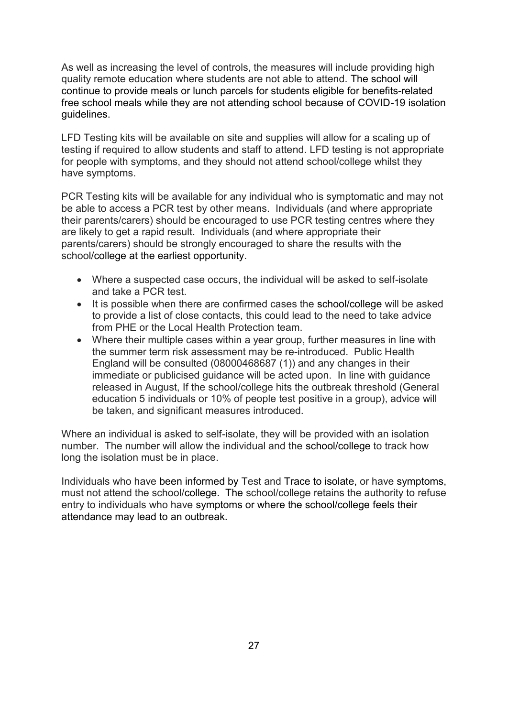As well as increasing the level of controls, the measures will include providing high quality remote education where students are not able to attend. The school will continue to provide meals or lunch parcels for students eligible for benefits-related free school meals while they are not attending school because of COVID-19 isolation guidelines.

LFD Testing kits will be available on site and supplies will allow for a scaling up of testing if required to allow students and staff to attend. LFD testing is not appropriate for people with symptoms, and they should not attend school/college whilst they have symptoms.

PCR Testing kits will be available for any individual who is symptomatic and may not be able to access a PCR test by other means. Individuals (and where appropriate their parents/carers) should be encouraged to use PCR testing centres where they are likely to get a rapid result. Individuals (and where appropriate their parents/carers) should be strongly encouraged to share the results with the school/college at the earliest opportunity.

- Where a suspected case occurs, the individual will be asked to self-isolate and take a PCR test.
- It is possible when there are confirmed cases the school/college will be asked to provide a list of close contacts, this could lead to the need to take advice from PHE or the Local Health Protection team.
- Where their multiple cases within a year group, further measures in line with the summer term risk assessment may be re-introduced. Public Health England will be consulted (08000468687 (1)) and any changes in their immediate or publicised guidance will be acted upon. In line with guidance released in August, If the school/college hits the outbreak threshold (General education 5 individuals or 10% of people test positive in a group), advice will be taken, and significant measures introduced.

Where an individual is asked to self-isolate, they will be provided with an isolation number. The number will allow the individual and the school/college to track how long the isolation must be in place.

Individuals who have been informed by Test and Trace to isolate, or have symptoms, must not attend the school/college. The school/college retains the authority to refuse entry to individuals who have symptoms or where the school/college feels their attendance may lead to an outbreak.